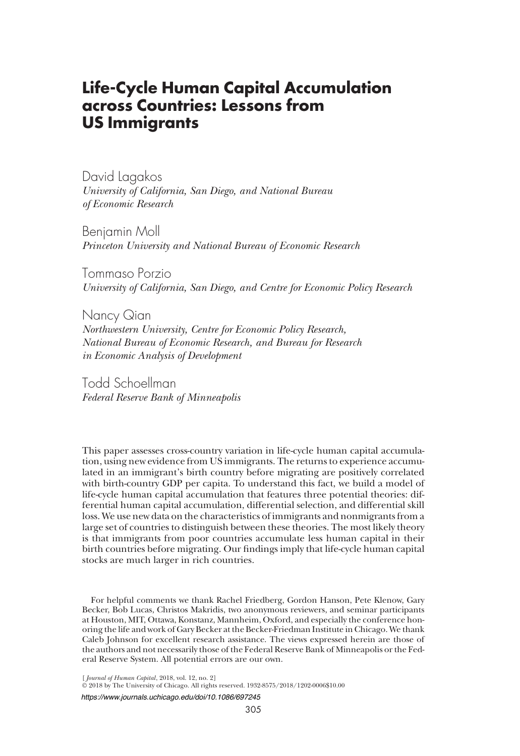# Life-Cycle Human Capital Accumulation **US Immigrants** US Immigrants

David Lagakos University of California, San Diego, and National Bureau of Economic Research

Benjamin Moll Princeton University and National Bureau of Economic Research

Tommaso Porzio University of California, San Diego, and Centre for Economic Policy Research

Nancy Qian Northwestern University, Centre for Economic Policy Research, National Bureau of Economic Research, and Bureau for Research in Economic Analysis of Development

Todd Schoellman Federal Reserve Bank of Minneapolis

This paper assesses cross-country variation in life-cycle human capital accumulation, using new evidence from US immigrants. The returns to experience accumulated in an immigrant's birth country before migrating are positively correlated with birth-country GDP per capita. To understand this fact, we build a model of life-cycle human capital accumulation that features three potential theories: differential human capital accumulation, differential selection, and differential skill loss. We use new data on the characteristics of immigrants and nonmigrants from a large set of countries to distinguish between these theories. The most likely theory is that immigrants from poor countries accumulate less human capital in their birth countries before migrating. Our findings imply that life-cycle human capital stocks are much larger in rich countries.

For helpful comments we thank Rachel Friedberg, Gordon Hanson, Pete Klenow, Gary Becker, Bob Lucas, Christos Makridis, two anonymous reviewers, and seminar participants at Houston, MIT, Ottawa, Konstanz, Mannheim, Oxford, and especially the conference honoring the life and work of Gary Becker at the Becker-Friedman Institute in Chicago. We thank Caleb Johnson for excellent research assistance. The views expressed herein are those of the authors and not necessarily those of the Federal Reserve Bank of Minneapolis or the Federal Reserve System. All potential errors are our own.

[ Journal of Human Capital, 2018, vol. 12, no. 2]

© 2018 by The University of Chicago. All rights reserved. 1932-8575/2018/1202-0006\$10.00 *https://www.journals.uchicago.edu/doi/10.1086/697245*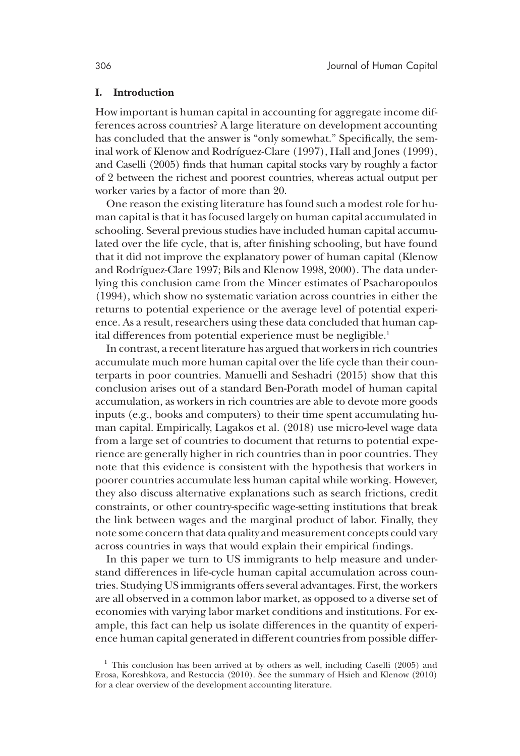## I. Introduction

How important is human capital in accounting for aggregate income differences across countries? A large literature on development accounting has concluded that the answer is "only somewhat." Specifically, the seminal work of Klenow and Rodríguez-Clare (1997), Hall and Jones (1999), and Caselli (2005) finds that human capital stocks vary by roughly a factor of 2 between the richest and poorest countries, whereas actual output per worker varies by a factor of more than 20.

One reason the existing literature has found such a modest role for human capital is that it has focused largely on human capital accumulated in schooling. Several previous studies have included human capital accumulated over the life cycle, that is, after finishing schooling, but have found that it did not improve the explanatory power of human capital (Klenow and Rodríguez-Clare 1997; Bils and Klenow 1998, 2000). The data underlying this conclusion came from the Mincer estimates of Psacharopoulos (1994), which show no systematic variation across countries in either the returns to potential experience or the average level of potential experience. As a result, researchers using these data concluded that human capital differences from potential experience must be negligible.<sup>1</sup>

In contrast, a recent literature has argued that workers in rich countries accumulate much more human capital over the life cycle than their counterparts in poor countries. Manuelli and Seshadri (2015) show that this conclusion arises out of a standard Ben-Porath model of human capital accumulation, as workers in rich countries are able to devote more goods inputs (e.g., books and computers) to their time spent accumulating human capital. Empirically, Lagakos et al. (2018) use micro-level wage data from a large set of countries to document that returns to potential experience are generally higher in rich countries than in poor countries. They note that this evidence is consistent with the hypothesis that workers in poorer countries accumulate less human capital while working. However, they also discuss alternative explanations such as search frictions, credit constraints, or other country-specific wage-setting institutions that break the link between wages and the marginal product of labor. Finally, they note some concern that data quality and measurement concepts could vary across countries in ways that would explain their empirical findings.

In this paper we turn to US immigrants to help measure and understand differences in life-cycle human capital accumulation across countries. Studying US immigrants offers several advantages. First, the workers are all observed in a common labor market, as opposed to a diverse set of economies with varying labor market conditions and institutions. For example, this fact can help us isolate differences in the quantity of experience human capital generated in different countries from possible differ-

<sup>1</sup> This conclusion has been arrived at by others as well, including Caselli (2005) and Erosa, Koreshkova, and Restuccia (2010). See the summary of Hsieh and Klenow (2010) for a clear overview of the development accounting literature.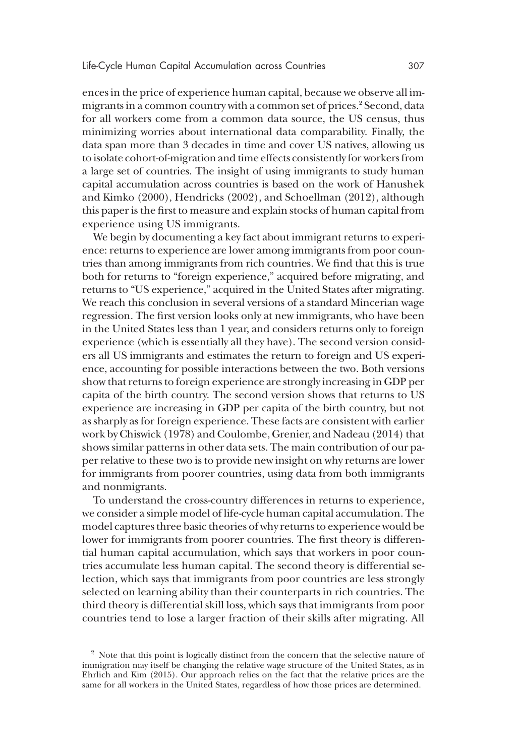ences in the price of experience human capital, because we observe all immigrants in a common country with a common set of prices.<sup>2</sup> Second, data for all workers come from a common data source, the US census, thus minimizing worries about international data comparability. Finally, the data span more than 3 decades in time and cover US natives, allowing us to isolate cohort-of-migration and time effects consistently for workers from a large set of countries. The insight of using immigrants to study human capital accumulation across countries is based on the work of Hanushek and Kimko (2000), Hendricks (2002), and Schoellman (2012), although this paper is the first to measure and explain stocks of human capital from experience using US immigrants.

We begin by documenting a key fact about immigrant returns to experience: returns to experience are lower among immigrants from poor countries than among immigrants from rich countries. We find that this is true both for returns to "foreign experience," acquired before migrating, and returns to "US experience," acquired in the United States after migrating. We reach this conclusion in several versions of a standard Mincerian wage regression. The first version looks only at new immigrants, who have been in the United States less than 1 year, and considers returns only to foreign experience (which is essentially all they have). The second version considers all US immigrants and estimates the return to foreign and US experience, accounting for possible interactions between the two. Both versions show that returns to foreign experience are strongly increasing in GDP per capita of the birth country. The second version shows that returns to US experience are increasing in GDP per capita of the birth country, but not as sharply as for foreign experience. These facts are consistent with earlier work by Chiswick (1978) and Coulombe, Grenier, and Nadeau (2014) that shows similar patterns in other data sets. The main contribution of our paper relative to these two is to provide new insight on why returns are lower for immigrants from poorer countries, using data from both immigrants and nonmigrants.

To understand the cross-country differences in returns to experience, we consider a simple model of life-cycle human capital accumulation. The model captures three basic theories of why returns to experience would be lower for immigrants from poorer countries. The first theory is differential human capital accumulation, which says that workers in poor countries accumulate less human capital. The second theory is differential selection, which says that immigrants from poor countries are less strongly selected on learning ability than their counterparts in rich countries. The third theory is differential skill loss, which says that immigrants from poor countries tend to lose a larger fraction of their skills after migrating. All

 $2\text{ Note that this point is logically distinct from the concern that the selective nature of }$ immigration may itself be changing the relative wage structure of the United States, as in Ehrlich and Kim (2015). Our approach relies on the fact that the relative prices are the same for all workers in the United States, regardless of how those prices are determined.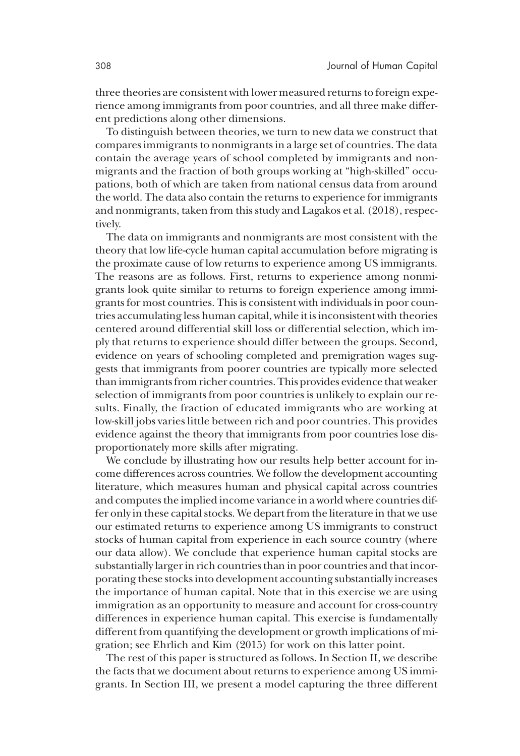three theories are consistent with lower measured returns to foreign experience among immigrants from poor countries, and all three make different predictions along other dimensions.

To distinguish between theories, we turn to new data we construct that compares immigrants to nonmigrants in a large set of countries. The data contain the average years of school completed by immigrants and nonmigrants and the fraction of both groups working at "high-skilled" occupations, both of which are taken from national census data from around the world. The data also contain the returns to experience for immigrants and nonmigrants, taken from this study and Lagakos et al. (2018), respectively.

The data on immigrants and nonmigrants are most consistent with the theory that low life-cycle human capital accumulation before migrating is the proximate cause of low returns to experience among US immigrants. The reasons are as follows. First, returns to experience among nonmigrants look quite similar to returns to foreign experience among immigrants for most countries. This is consistent with individuals in poor countries accumulating less human capital, while it is inconsistent with theories centered around differential skill loss or differential selection, which imply that returns to experience should differ between the groups. Second, evidence on years of schooling completed and premigration wages suggests that immigrants from poorer countries are typically more selected than immigrants from richer countries. This provides evidence that weaker selection of immigrants from poor countries is unlikely to explain our results. Finally, the fraction of educated immigrants who are working at low-skill jobs varies little between rich and poor countries. This provides evidence against the theory that immigrants from poor countries lose disproportionately more skills after migrating.

We conclude by illustrating how our results help better account for income differences across countries. We follow the development accounting literature, which measures human and physical capital across countries and computes the implied income variance in a world where countries differ only in these capital stocks. We depart from the literature in that we use our estimated returns to experience among US immigrants to construct stocks of human capital from experience in each source country (where our data allow). We conclude that experience human capital stocks are substantially larger in rich countries than in poor countries and that incorporating these stocks into development accounting substantially increases the importance of human capital. Note that in this exercise we are using immigration as an opportunity to measure and account for cross-country differences in experience human capital. This exercise is fundamentally different from quantifying the development or growth implications of migration; see Ehrlich and Kim (2015) for work on this latter point.

The rest of this paper is structured as follows. In Section II, we describe the facts that we document about returns to experience among US immigrants. In Section III, we present a model capturing the three different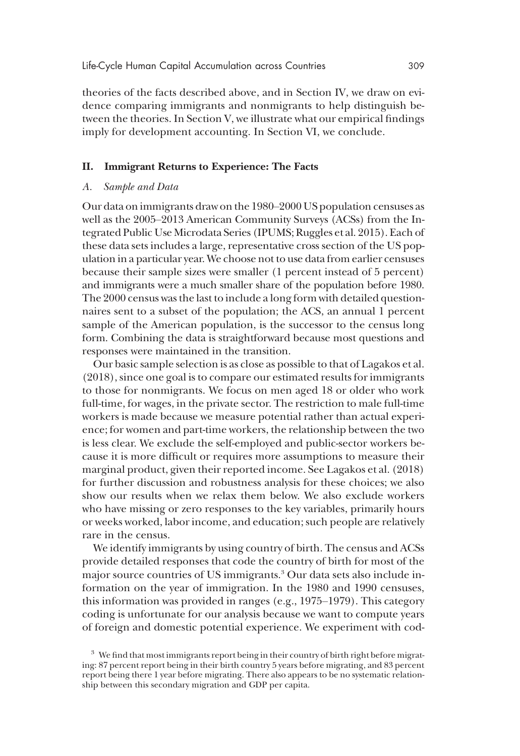theories of the facts described above, and in Section IV, we draw on evi-

dence comparing immigrants and nonmigrants to help distinguish between the theories. In Section V, we illustrate what our empirical findings imply for development accounting. In Section VI, we conclude.

# II. Immigrant Returns to Experience: The Facts

## A. Sample and Data

Our data on immigrants draw on the 1980–2000 US population censuses as well as the 2005–2013 American Community Surveys (ACSs) from the Integrated Public Use Microdata Series (IPUMS; Ruggles et al. 2015). Each of these data sets includes a large, representative cross section of the US population in a particular year. We choose not to use data from earlier censuses because their sample sizes were smaller (1 percent instead of 5 percent) and immigrants were a much smaller share of the population before 1980. The 2000 census was the last to include a long form with detailed questionnaires sent to a subset of the population; the ACS, an annual 1 percent sample of the American population, is the successor to the census long form. Combining the data is straightforward because most questions and responses were maintained in the transition.

Our basic sample selection is as close as possible to that of Lagakos et al. (2018), since one goal is to compare our estimated results for immigrants to those for nonmigrants. We focus on men aged 18 or older who work full-time, for wages, in the private sector. The restriction to male full-time workers is made because we measure potential rather than actual experience; for women and part-time workers, the relationship between the two is less clear. We exclude the self-employed and public-sector workers because it is more difficult or requires more assumptions to measure their marginal product, given their reported income. See Lagakos et al. (2018) for further discussion and robustness analysis for these choices; we also show our results when we relax them below. We also exclude workers who have missing or zero responses to the key variables, primarily hours or weeks worked, labor income, and education; such people are relatively rare in the census.

We identify immigrants by using country of birth. The census and ACSs provide detailed responses that code the country of birth for most of the major source countries of US immigrants.<sup>3</sup> Our data sets also include information on the year of immigration. In the 1980 and 1990 censuses, this information was provided in ranges (e.g., 1975–1979). This category coding is unfortunate for our analysis because we want to compute years of foreign and domestic potential experience. We experiment with cod-

 $3\,$  We find that most immigrants report being in their country of birth right before migrating: 87 percent report being in their birth country 5 years before migrating, and 83 percent report being there 1 year before migrating. There also appears to be no systematic relationship between this secondary migration and GDP per capita.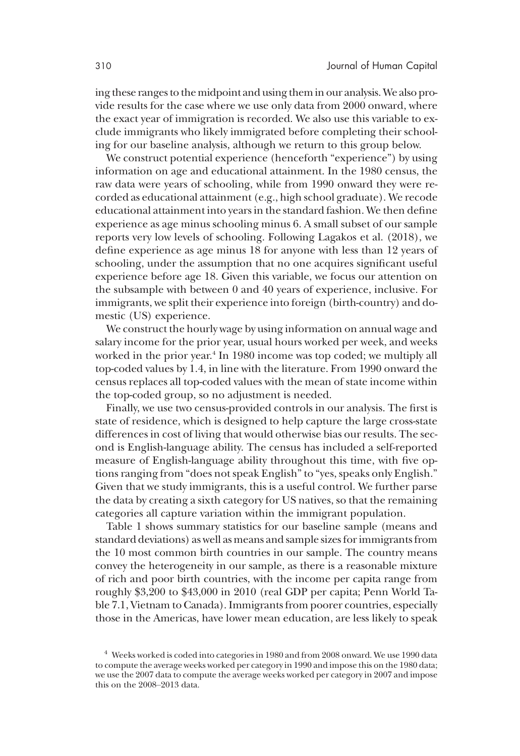ing these ranges to the midpoint and using them in our analysis.We also provide results for the case where we use only data from 2000 onward, where the exact year of immigration is recorded. We also use this variable to exclude immigrants who likely immigrated before completing their schooling for our baseline analysis, although we return to this group below.

We construct potential experience (henceforth "experience") by using information on age and educational attainment. In the 1980 census, the raw data were years of schooling, while from 1990 onward they were recorded as educational attainment (e.g., high school graduate). We recode educational attainment into years in the standard fashion. We then define experience as age minus schooling minus 6. A small subset of our sample reports very low levels of schooling. Following Lagakos et al. (2018), we define experience as age minus 18 for anyone with less than 12 years of schooling, under the assumption that no one acquires significant useful experience before age 18. Given this variable, we focus our attention on the subsample with between 0 and 40 years of experience, inclusive. For immigrants, we split their experience into foreign (birth-country) and domestic (US) experience.

We construct the hourly wage by using information on annual wage and salary income for the prior year, usual hours worked per week, and weeks worked in the prior year.<sup>4</sup> In 1980 income was top coded; we multiply all top-coded values by 1.4, in line with the literature. From 1990 onward the census replaces all top-coded values with the mean of state income within the top-coded group, so no adjustment is needed.

Finally, we use two census-provided controls in our analysis. The first is state of residence, which is designed to help capture the large cross-state differences in cost of living that would otherwise bias our results. The second is English-language ability. The census has included a self-reported measure of English-language ability throughout this time, with five options ranging from "does not speak English" to "yes, speaks only English." Given that we study immigrants, this is a useful control. We further parse the data by creating a sixth category for US natives, so that the remaining categories all capture variation within the immigrant population.

Table 1 shows summary statistics for our baseline sample (means and standard deviations) as well as means and sample sizes for immigrants from the 10 most common birth countries in our sample. The country means convey the heterogeneity in our sample, as there is a reasonable mixture of rich and poor birth countries, with the income per capita range from roughly \$3,200 to \$43,000 in 2010 (real GDP per capita; Penn World Table 7.1, Vietnam to Canada). Immigrants from poorer countries, especially those in the Americas, have lower mean education, are less likely to speak

<sup>4</sup> Weeks worked is coded into categories in 1980 and from 2008 onward. We use 1990 data to compute the average weeks worked per category in 1990 and impose this on the 1980 data; we use the 2007 data to compute the average weeks worked per category in 2007 and impose this on the 2008–2013 data.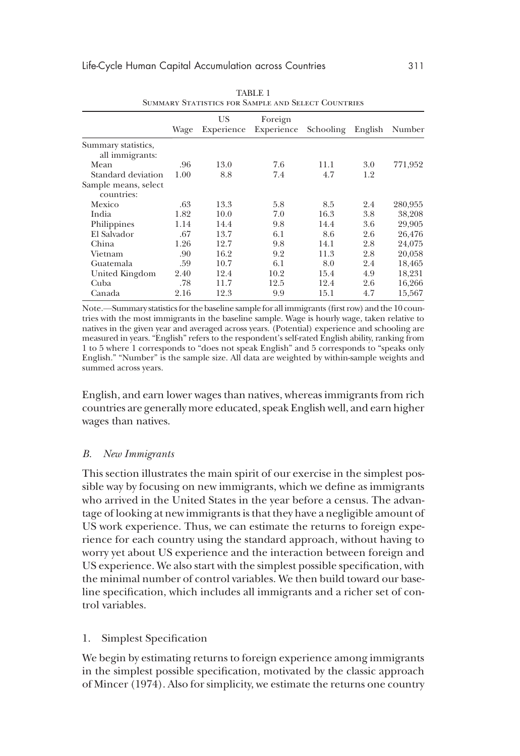| oommani ofatiofico fon oamlee and oelect coonfinito |      |                  |                       |           |         |         |
|-----------------------------------------------------|------|------------------|-----------------------|-----------|---------|---------|
|                                                     | Wage | US<br>Experience | Foreign<br>Experience | Schooling | English | Number  |
| Summary statistics,<br>all immigrants:              |      |                  |                       |           |         |         |
| Mean                                                | .96  | 13.0             | 7.6                   | 11.1      | 3.0     | 771,952 |
| Standard deviation                                  | 1.00 | 8.8              | 7.4                   | 4.7       | 1.2     |         |
| Sample means, select<br>countries:                  |      |                  |                       |           |         |         |
| Mexico                                              | .63  | 13.3             | 5.8                   | 8.5       | 2.4     | 280,955 |
| India                                               | 1.82 | 10.0             | 7.0                   | 16.3      | 3.8     | 38,208  |
| Philippines                                         | 1.14 | 14.4             | 9.8                   | 14.4      | 3.6     | 29,905  |
| El Salvador                                         | .67  | 13.7             | 6.1                   | 8.6       | 2.6     | 26,476  |
| China                                               | 1.26 | 12.7             | 9.8                   | 14.1      | 2.8     | 24.075  |
| Vietnam                                             | .90  | 16.2             | 9.2                   | 11.3      | 2.8     | 20,058  |
| Guatemala                                           | .59  | 10.7             | 6.1                   | 8.0       | 2.4     | 18,465  |
| United Kingdom                                      | 2.40 | 12.4             | 10.2                  | 15.4      | 4.9     | 18,231  |
| Cuba                                                | .78  | 11.7             | 12.5                  | 12.4      | 2.6     | 16,266  |
| Canada                                              | 2.16 | 12.3             | 9.9                   | 15.1      | 4.7     | 15,567  |

TABLE 1 Summary Statistics for Sample and Select Countries

Note.—Summary statistics for the baseline sample for all immigrants (first row) and the 10 countries with the most immigrants in the baseline sample. Wage is hourly wage, taken relative to natives in the given year and averaged across years. (Potential) experience and schooling are measured in years. "English" refers to the respondent's self-rated English ability, ranking from 1 to 5 where 1 corresponds to "does not speak English" and 5 corresponds to "speaks only English." "Number" is the sample size. All data are weighted by within-sample weights and summed across years.

English, and earn lower wages than natives, whereas immigrants from rich countries are generally more educated, speak English well, and earn higher wages than natives.

# B. New Immigrants

This section illustrates the main spirit of our exercise in the simplest possible way by focusing on new immigrants, which we define as immigrants who arrived in the United States in the year before a census. The advantage of looking at new immigrants is that they have a negligible amount of US work experience. Thus, we can estimate the returns to foreign experience for each country using the standard approach, without having to worry yet about US experience and the interaction between foreign and US experience. We also start with the simplest possible specification, with the minimal number of control variables. We then build toward our baseline specification, which includes all immigrants and a richer set of control variables.

## 1. Simplest Specification

We begin by estimating returns to foreign experience among immigrants in the simplest possible specification, motivated by the classic approach of Mincer (1974). Also for simplicity, we estimate the returns one country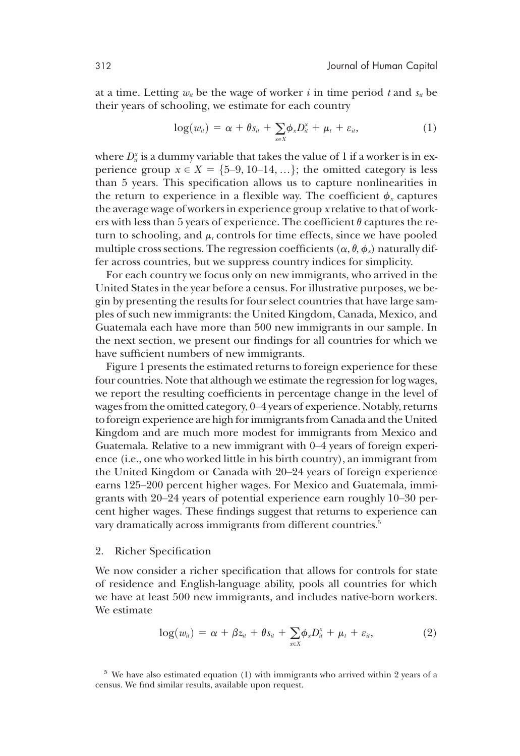at a time. Letting  $w_{ii}$  be the wage of worker i in time period t and  $s_{ii}$  be their years of schooling, we estimate for each country

$$
\log(w_{it}) = \alpha + \theta s_{it} + \sum_{x \in X} \phi_x D_{it}^x + \mu_t + \varepsilon_{it}, \qquad (1)
$$

where  $D_{\breve{u}}^{\rm x}$  is a dummy variable that takes the value of  $1$  if a worker is in experience group  $x \in X = \{5-9, 10-14, ...\}$ ; the omitted category is less than 5 years. This specification allows us to capture nonlinearities in the return to experience in a flexible way. The coefficient  $\phi_x$  captures the average wage of workers in experience group x relative to that of workers with less than 5 years of experience. The coefficient  $\theta$  captures the return to schooling, and  $\mu_t$  controls for time effects, since we have pooled multiple cross sections. The regression coefficients  $(\alpha, \theta, \phi_x)$  naturally differ across countries, but we suppress country indices for simplicity.

For each country we focus only on new immigrants, who arrived in the United States in the year before a census. For illustrative purposes, we begin by presenting the results for four select countries that have large samples of such new immigrants: the United Kingdom, Canada, Mexico, and Guatemala each have more than 500 new immigrants in our sample. In the next section, we present our findings for all countries for which we have sufficient numbers of new immigrants.

Figure 1 presents the estimated returns to foreign experience for these four countries. Note that although we estimate the regression for log wages, we report the resulting coefficients in percentage change in the level of wages from the omitted category, 0–4 years of experience. Notably, returns to foreign experience are high for immigrants from Canada and the United Kingdom and are much more modest for immigrants from Mexico and Guatemala. Relative to a new immigrant with 0–4 years of foreign experience (i.e., one who worked little in his birth country), an immigrant from the United Kingdom or Canada with 20–24 years of foreign experience earns 125–200 percent higher wages. For Mexico and Guatemala, immigrants with 20–24 years of potential experience earn roughly 10–30 percent higher wages. These findings suggest that returns to experience can vary dramatically across immigrants from different countries.<sup>5</sup>

#### 2. Richer Specification

We now consider a richer specification that allows for controls for state of residence and English-language ability, pools all countries for which we have at least 500 new immigrants, and includes native-born workers. We estimate

$$
\log(w_{ii}) = \alpha + \beta z_{ii} + \theta s_{ii} + \sum_{x \in X} \phi_x D_{ii}^x + \mu_t + \varepsilon_{ii}, \qquad (2)
$$

 $5$  We have also estimated equation (1) with immigrants who arrived within 2 years of a census. We find similar results, available upon request.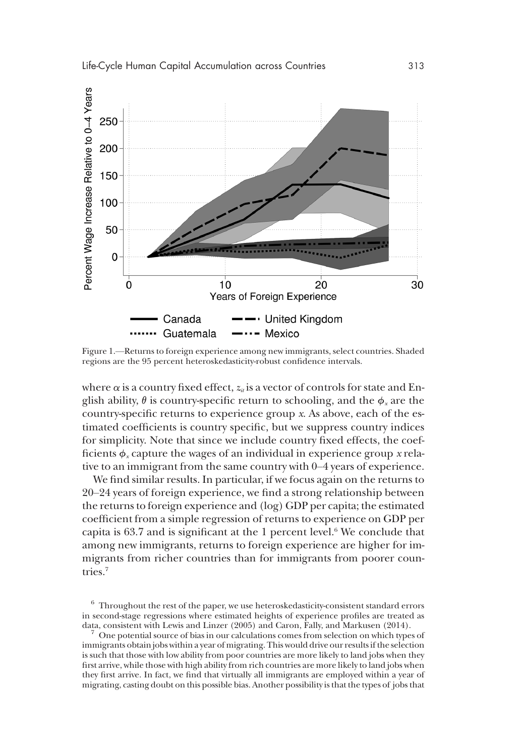

Figure 1.—Returns to foreign experience among new immigrants, select countries. Shaded regions are the 95 percent heteroskedasticity-robust confidence intervals.

where  $\alpha$  is a country fixed effect,  $z_{ii}$  is a vector of controls for state and English ability,  $\theta$  is country-specific return to schooling, and the  $\phi_x$  are the country-specific returns to experience group x. As above, each of the estimated coefficients is country specific, but we suppress country indices for simplicity. Note that since we include country fixed effects, the coefficients  $\phi_x$  capture the wages of an individual in experience group x relative to an immigrant from the same country with 0–4 years of experience.

We find similar results. In particular, if we focus again on the returns to 20–24 years of foreign experience, we find a strong relationship between the returns to foreign experience and (log) GDP per capita; the estimated coefficient from a simple regression of returns to experience on GDP per capita is  $63.7$  and is significant at the 1 percent level.<sup>6</sup> We conclude that among new immigrants, returns to foreign experience are higher for immigrants from richer countries than for immigrants from poorer countries.7

 $^6\,$  Throughout the rest of the paper, we use heteroskedasticity-consistent standard errors in second-stage regressions where estimated heights of experience profiles are treated as data, consistent with Lewis and Linzer (2005) and Caron, Fally, and Markusen (2014).

 $\frac{7}{10}$  One potential source of bias in our calculations comes from selection on which types of immigrants obtain jobs within a year of migrating. This would drive our results if the selection is such that those with low ability from poor countries are more likely to land jobs when they first arrive, while those with high ability from rich countries are more likely to land jobs when they first arrive. In fact, we find that virtually all immigrants are employed within a year of migrating, casting doubt on this possible bias. Another possibility is that the types of jobs that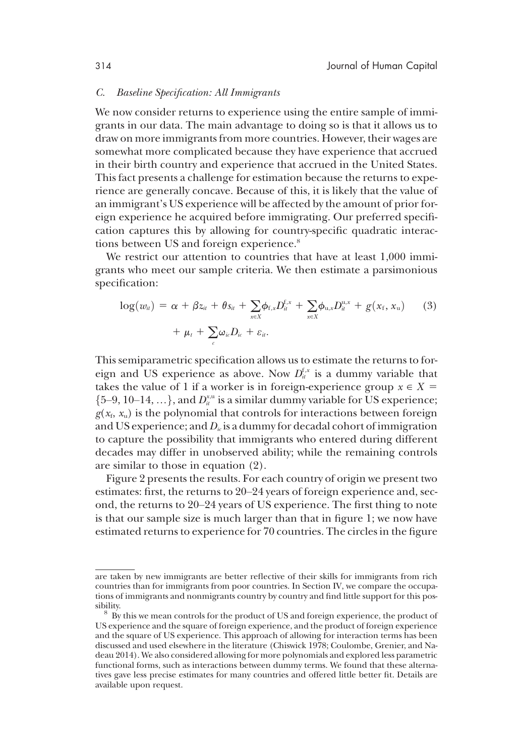## C. Baseline Specification: All Immigrants

We now consider returns to experience using the entire sample of immigrants in our data. The main advantage to doing so is that it allows us to draw on more immigrants from more countries. However, their wages are somewhat more complicated because they have experience that accrued in their birth country and experience that accrued in the United States. This fact presents a challenge for estimation because the returns to experience are generally concave. Because of this, it is likely that the value of an immigrant's US experience will be affected by the amount of prior foreign experience he acquired before immigrating. Our preferred specification captures this by allowing for country-specific quadratic interactions between US and foreign experience.8

We restrict our attention to countries that have at least 1,000 immigrants who meet our sample criteria. We then estimate a parsimonious specification:

$$
\log(w_{ii}) = \alpha + \beta z_{ii} + \theta s_{ii} + \sum_{x \in X} \phi_{f,x} D_{ii}^{f,x} + \sum_{x \in X} \phi_{u,x} D_{ii}^{u,x} + g(x_f, x_u)
$$
(3)  
+  $\mu_t + \sum_c \omega_{ic} D_{ic} + \varepsilon_{ii}$ .

This semiparametric specification allows us to estimate the returns to foreign and US experience as above. Now  $D_{it}^{f,x}$  is a dummy variable that takes the value of 1 if a worker is in foreign-experience group  $x \in X =$  $\{5-9, 10-14, ...\}$ , and  $D_{u}^{x,u}$  is a similar dummy variable for US experience;<br> $g(x, x)$  is the polynomial that controls for interactions between foreign  $g(x_f, x_u)$  is the polynomial that controls for interactions between foreign and US experience; and  $D<sub>i</sub>$  is a dummy for decadal cohort of immigration to capture the possibility that immigrants who entered during different decades may differ in unobserved ability; while the remaining controls are similar to those in equation (2).

Figure 2 presents the results. For each country of origin we present two estimates: first, the returns to 20–24 years of foreign experience and, second, the returns to 20–24 years of US experience. The first thing to note is that our sample size is much larger than that in figure 1; we now have estimated returns to experience for 70 countries. The circles in the figure

are taken by new immigrants are better reflective of their skills for immigrants from rich countries than for immigrants from poor countries. In Section IV, we compare the occupations of immigrants and nonmigrants country by country and find little support for this possibility.<br><sup>8</sup> By this we mean controls for the product of US and foreign experience, the product of

US experience and the square of foreign experience, and the product of foreign experience and the square of US experience. This approach of allowing for interaction terms has been discussed and used elsewhere in the literature (Chiswick 1978; Coulombe, Grenier, and Nadeau 2014). We also considered allowing for more polynomials and explored less parametric functional forms, such as interactions between dummy terms. We found that these alternatives gave less precise estimates for many countries and offered little better fit. Details are available upon request.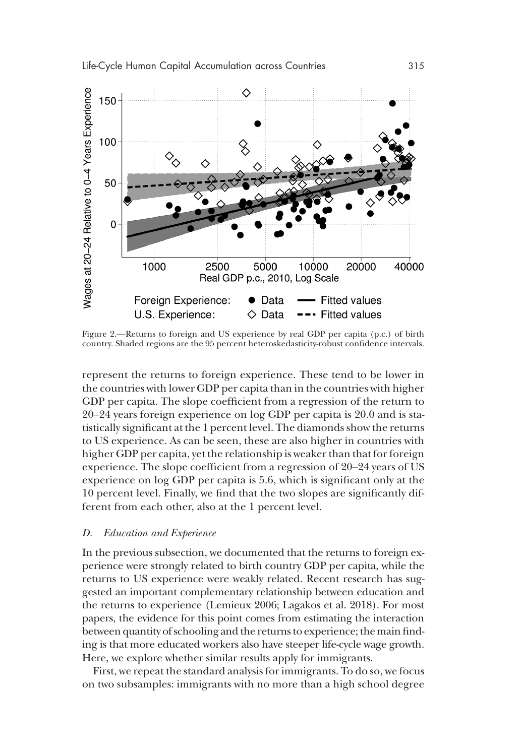

Figure 2.—Returns to foreign and US experience by real GDP per capita (p.c.) of birth country. Shaded regions are the 95 percent heteroskedasticity-robust confidence intervals.

represent the returns to foreign experience. These tend to be lower in the countries with lower GDP per capita than in the countries with higher GDP per capita. The slope coefficient from a regression of the return to 20–24 years foreign experience on log GDP per capita is 20.0 and is statistically significant at the 1 percent level. The diamonds show the returns to US experience. As can be seen, these are also higher in countries with higher GDP per capita, yet the relationship is weaker than that for foreign experience. The slope coefficient from a regression of 20–24 years of US experience on log GDP per capita is 5.6, which is significant only at the 10 percent level. Finally, we find that the two slopes are significantly different from each other, also at the 1 percent level.

#### D. Education and Experience

In the previous subsection, we documented that the returns to foreign experience were strongly related to birth country GDP per capita, while the returns to US experience were weakly related. Recent research has suggested an important complementary relationship between education and the returns to experience (Lemieux 2006; Lagakos et al. 2018). For most papers, the evidence for this point comes from estimating the interaction between quantity of schooling and the returns to experience; the main finding is that more educated workers also have steeper life-cycle wage growth. Here, we explore whether similar results apply for immigrants.

First, we repeat the standard analysis for immigrants. To do so, we focus on two subsamples: immigrants with no more than a high school degree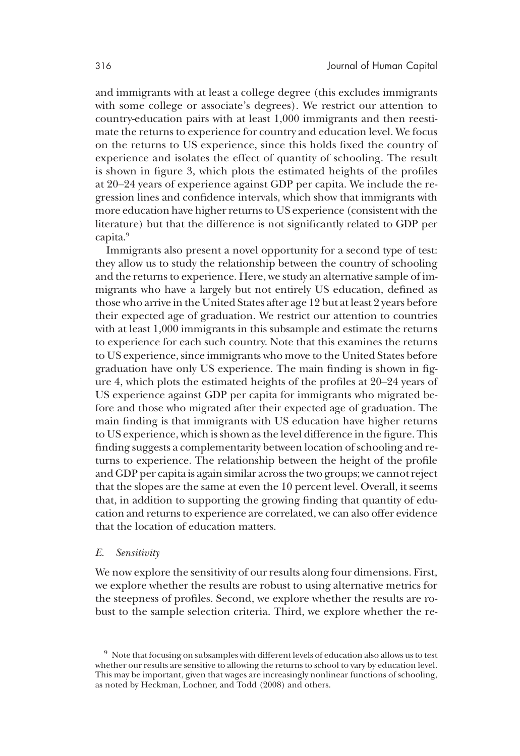and immigrants with at least a college degree (this excludes immigrants with some college or associate's degrees). We restrict our attention to country-education pairs with at least 1,000 immigrants and then reestimate the returns to experience for country and education level. We focus on the returns to US experience, since this holds fixed the country of experience and isolates the effect of quantity of schooling. The result is shown in figure 3, which plots the estimated heights of the profiles at 20–24 years of experience against GDP per capita. We include the regression lines and confidence intervals, which show that immigrants with more education have higher returns to US experience (consistent with the literature) but that the difference is not significantly related to GDP per capita.<sup>9</sup>

Immigrants also present a novel opportunity for a second type of test: they allow us to study the relationship between the country of schooling and the returns to experience. Here, we study an alternative sample of immigrants who have a largely but not entirely US education, defined as those who arrive in the United States after age 12 but at least 2 years before their expected age of graduation. We restrict our attention to countries with at least 1,000 immigrants in this subsample and estimate the returns to experience for each such country. Note that this examines the returns to US experience, since immigrants who move to the United States before graduation have only US experience. The main finding is shown in figure 4, which plots the estimated heights of the profiles at 20–24 years of US experience against GDP per capita for immigrants who migrated before and those who migrated after their expected age of graduation. The main finding is that immigrants with US education have higher returns to US experience, which is shown as the level difference in the figure. This finding suggests a complementarity between location of schooling and returns to experience. The relationship between the height of the profile and GDP per capita is again similar across the two groups; we cannot reject that the slopes are the same at even the 10 percent level. Overall, it seems that, in addition to supporting the growing finding that quantity of education and returns to experience are correlated, we can also offer evidence that the location of education matters.

#### E. Sensitivity

We now explore the sensitivity of our results along four dimensions. First, we explore whether the results are robust to using alternative metrics for the steepness of profiles. Second, we explore whether the results are robust to the sample selection criteria. Third, we explore whether the re-

 $9\text{ Note that focusing on subsamples with different levels of education also allows us to test.}$ whether our results are sensitive to allowing the returns to school to vary by education level. This may be important, given that wages are increasingly nonlinear functions of schooling, as noted by Heckman, Lochner, and Todd (2008) and others.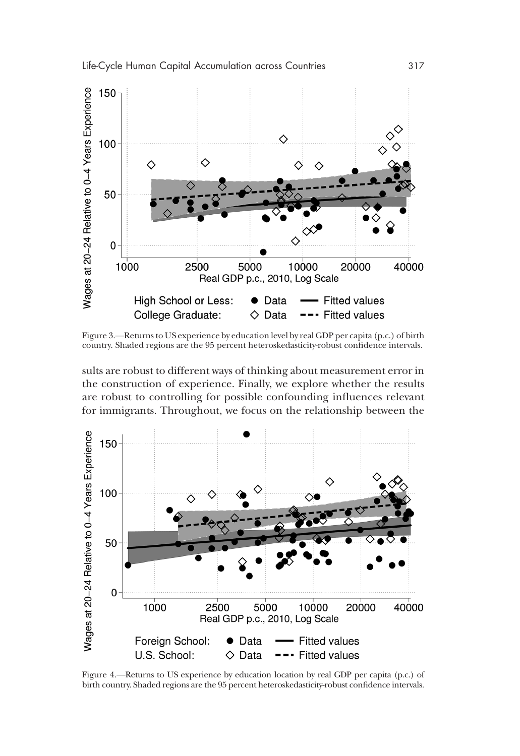

Figure 3.—Returns to US experience by education level by real GDP per capita (p.c.) of birth country. Shaded regions are the 95 percent heteroskedasticity-robust confidence intervals.

sults are robust to different ways of thinking about measurement error in the construction of experience. Finally, we explore whether the results are robust to controlling for possible confounding influences relevant for immigrants. Throughout, we focus on the relationship between the



Figure 4.—Returns to US experience by education location by real GDP per capita (p.c.) of birth country. Shaded regions are the 95 percent heteroskedasticity-robust confidence intervals.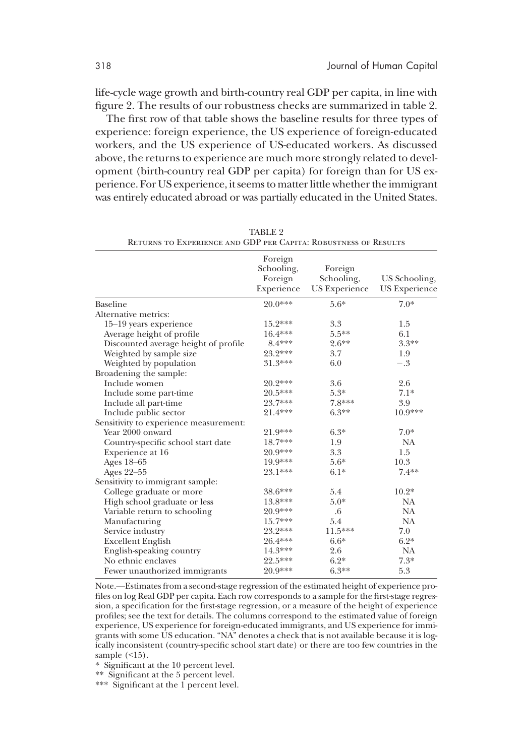life-cycle wage growth and birth-country real GDP per capita, in line with figure 2. The results of our robustness checks are summarized in table 2.

The first row of that table shows the baseline results for three types of experience: foreign experience, the US experience of foreign-educated workers, and the US experience of US-educated workers. As discussed above, the returns to experience are much more strongly related to development (birth-country real GDP per capita) for foreign than for US experience. For US experience, it seems to matter little whether the immigrant was entirely educated abroad or was partially educated in the United States.

|                                        | Foreign<br>Schooling,<br>Foreign<br>Experience | Foreign<br>Schooling,<br>US Experience | US Schooling,<br>US Experience |
|----------------------------------------|------------------------------------------------|----------------------------------------|--------------------------------|
| <b>Baseline</b>                        | 20.0***                                        | $5.6*$                                 | $7.0*$                         |
| Alternative metrics:                   |                                                |                                        |                                |
| 15-19 years experience                 | $15.2***$                                      | 3.3                                    | 1.5                            |
| Average height of profile              | 16.4***                                        | $5.5**$                                | 6.1                            |
| Discounted average height of profile   | 8.4***                                         | $2.6**$                                | $3.3**$                        |
| Weighted by sample size                | 23.2***                                        | 3.7                                    | 1.9                            |
| Weighted by population                 | $31.3***$                                      | 6.0                                    | $-.3$                          |
| Broadening the sample:                 |                                                |                                        |                                |
| Include women                          | $20.2***$                                      | 3.6                                    | 2.6                            |
| Include some part-time                 | $20.5***$                                      | $5.3*$                                 | $7.1*$                         |
| Include all part-time                  | 23.7***                                        | $7.8***$                               | 3.9                            |
| Include public sector                  | 21.4***                                        | $6.3**$                                | 10.9***                        |
| Sensitivity to experience measurement: |                                                |                                        |                                |
| Year 2000 onward                       | 21.9***                                        | $6.3*$                                 | $7.0*$                         |
| Country-specific school start date     | 18.7***                                        | 1.9                                    | <b>NA</b>                      |
| Experience at 16                       | 20.9***                                        | 3.3                                    | 1.5                            |
| Ages 18-65                             | 19.9***                                        | $5.6*$                                 | 10.3                           |
| Ages 22-55                             | 23.1***                                        | $6.1*$                                 | $7.4**$                        |
| Sensitivity to immigrant sample:       |                                                |                                        |                                |
| College graduate or more               | 38.6***                                        | 5.4                                    | $10.2*$                        |
| High school graduate or less           | 13.8***                                        | $5.0*$                                 | NA                             |
| Variable return to schooling           | 20.9***                                        | .6                                     | NA                             |
| Manufacturing                          | $15.7***$                                      | 5.4                                    | <b>NA</b>                      |
| Service industry                       | 23.2***                                        | $11.5***$                              | 7.0                            |
| <b>Excellent English</b>               | 26.4***                                        | $6.6*$                                 | $6.2*$                         |
| English-speaking country               | $14.3***$                                      | 2.6                                    | <b>NA</b>                      |
| No ethnic enclaves                     | 22.5***                                        | $6.2*$                                 | $7.3*$                         |
| Fewer unauthorized immigrants          | 20.9***                                        | $6.3**$                                | 5.3                            |

|                                                                 | TABLE 2 |  |  |
|-----------------------------------------------------------------|---------|--|--|
| RETURNS TO EXPERIENCE AND GDP PER CAPITA: ROBUSTNESS OF RESULTS |         |  |  |

Note.—Estimates from a second-stage regression of the estimated height of experience profiles on log Real GDP per capita. Each row corresponds to a sample for the first-stage regression, a specification for the first-stage regression, or a measure of the height of experience profiles; see the text for details. The columns correspond to the estimated value of foreign experience, US experience for foreign-educated immigrants, and US experience for immigrants with some US education. "NA" denotes a check that is not available because it is logically inconsistent (country-specific school start date) or there are too few countries in the sample  $(\leq 15)$ .

\* Significant at the 10 percent level.

\*\* Significant at the 5 percent level.

\*\*\* Significant at the 1 percent level.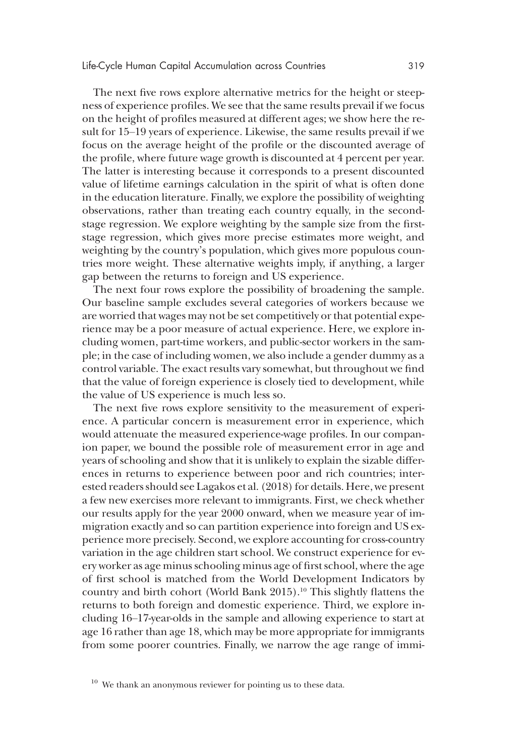The next five rows explore alternative metrics for the height or steepness of experience profiles. We see that the same results prevail if we focus on the height of profiles measured at different ages; we show here the result for 15–19 years of experience. Likewise, the same results prevail if we focus on the average height of the profile or the discounted average of the profile, where future wage growth is discounted at 4 percent per year. The latter is interesting because it corresponds to a present discounted value of lifetime earnings calculation in the spirit of what is often done in the education literature. Finally, we explore the possibility of weighting observations, rather than treating each country equally, in the secondstage regression. We explore weighting by the sample size from the firststage regression, which gives more precise estimates more weight, and weighting by the country's population, which gives more populous countries more weight. These alternative weights imply, if anything, a larger gap between the returns to foreign and US experience.

The next four rows explore the possibility of broadening the sample. Our baseline sample excludes several categories of workers because we are worried that wages may not be set competitively or that potential experience may be a poor measure of actual experience. Here, we explore including women, part-time workers, and public-sector workers in the sample; in the case of including women, we also include a gender dummy as a control variable. The exact results vary somewhat, but throughout we find that the value of foreign experience is closely tied to development, while the value of US experience is much less so.

The next five rows explore sensitivity to the measurement of experience. A particular concern is measurement error in experience, which would attenuate the measured experience-wage profiles. In our companion paper, we bound the possible role of measurement error in age and years of schooling and show that it is unlikely to explain the sizable differences in returns to experience between poor and rich countries; interested readers should see Lagakos et al. (2018) for details. Here, we present a few new exercises more relevant to immigrants. First, we check whether our results apply for the year 2000 onward, when we measure year of immigration exactly and so can partition experience into foreign and US experience more precisely. Second, we explore accounting for cross-country variation in the age children start school. We construct experience for every worker as age minus schooling minus age of first school, where the age of first school is matched from the World Development Indicators by country and birth cohort (World Bank  $2015$ ).<sup>10</sup> This slightly flattens the returns to both foreign and domestic experience. Third, we explore including 16–17-year-olds in the sample and allowing experience to start at age 16 rather than age 18, which may be more appropriate for immigrants from some poorer countries. Finally, we narrow the age range of immi-

<sup>&</sup>lt;sup>10</sup> We thank an anonymous reviewer for pointing us to these data.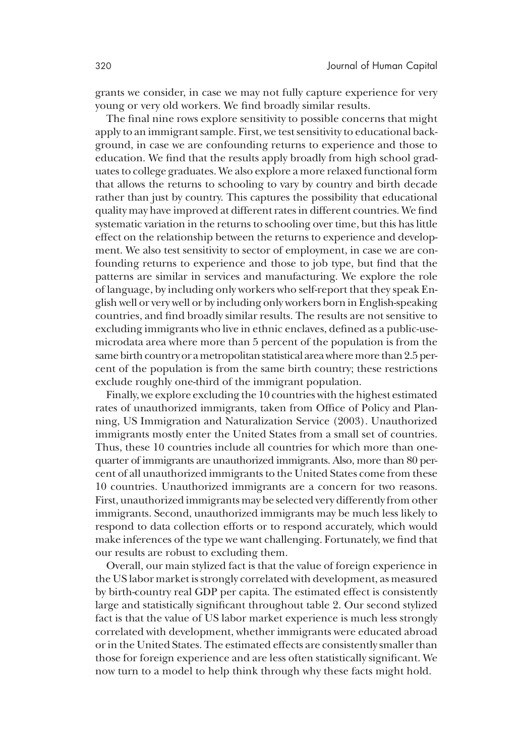grants we consider, in case we may not fully capture experience for very young or very old workers. We find broadly similar results.

The final nine rows explore sensitivity to possible concerns that might apply to an immigrant sample. First, we test sensitivity to educational background, in case we are confounding returns to experience and those to education. We find that the results apply broadly from high school graduates to college graduates. We also explore a more relaxed functional form that allows the returns to schooling to vary by country and birth decade rather than just by country. This captures the possibility that educational quality may have improved at different rates in different countries. We find systematic variation in the returns to schooling over time, but this has little effect on the relationship between the returns to experience and development. We also test sensitivity to sector of employment, in case we are confounding returns to experience and those to job type, but find that the patterns are similar in services and manufacturing. We explore the role of language, by including only workers who self-report that they speak English well or very well or by including only workers born in English-speaking countries, and find broadly similar results. The results are not sensitive to excluding immigrants who live in ethnic enclaves, defined as a public-usemicrodata area where more than 5 percent of the population is from the same birth country or a metropolitan statistical area where more than 2.5 percent of the population is from the same birth country; these restrictions exclude roughly one-third of the immigrant population.

Finally, we explore excluding the 10 countries with the highest estimated rates of unauthorized immigrants, taken from Office of Policy and Planning, US Immigration and Naturalization Service (2003). Unauthorized immigrants mostly enter the United States from a small set of countries. Thus, these 10 countries include all countries for which more than onequarter of immigrants are unauthorized immigrants. Also, more than 80 percent of all unauthorized immigrants to the United States come from these 10 countries. Unauthorized immigrants are a concern for two reasons. First, unauthorized immigrants may be selected very differently from other immigrants. Second, unauthorized immigrants may be much less likely to respond to data collection efforts or to respond accurately, which would make inferences of the type we want challenging. Fortunately, we find that our results are robust to excluding them.

Overall, our main stylized fact is that the value of foreign experience in the US labor market is strongly correlated with development, as measured by birth-country real GDP per capita. The estimated effect is consistently large and statistically significant throughout table 2. Our second stylized fact is that the value of US labor market experience is much less strongly correlated with development, whether immigrants were educated abroad or in the United States. The estimated effects are consistently smaller than those for foreign experience and are less often statistically significant. We now turn to a model to help think through why these facts might hold.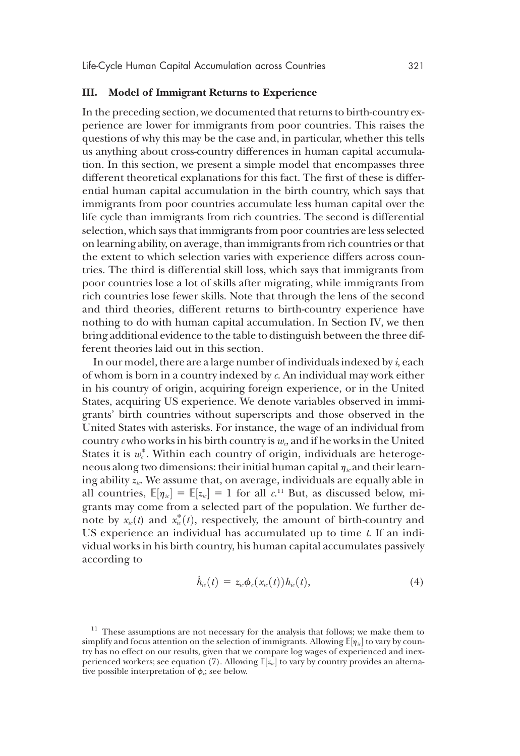## III. Model of Immigrant Returns to Experience

In the preceding section, we documented that returns to birth-country experience are lower for immigrants from poor countries. This raises the questions of why this may be the case and, in particular, whether this tells us anything about cross-country differences in human capital accumulation. In this section, we present a simple model that encompasses three different theoretical explanations for this fact. The first of these is differential human capital accumulation in the birth country, which says that immigrants from poor countries accumulate less human capital over the life cycle than immigrants from rich countries. The second is differential selection, which says that immigrants from poor countries are less selected on learning ability, on average, than immigrants from rich countries or that the extent to which selection varies with experience differs across countries. The third is differential skill loss, which says that immigrants from poor countries lose a lot of skills after migrating, while immigrants from rich countries lose fewer skills. Note that through the lens of the second and third theories, different returns to birth-country experience have nothing to do with human capital accumulation. In Section IV, we then bring additional evidence to the table to distinguish between the three different theories laid out in this section.

In our model, there are a large number of individuals indexed by  $i$ , each of whom is born in a country indexed by  $c$ . An individual may work either in his country of origin, acquiring foreign experience, or in the United States, acquiring US experience. We denote variables observed in immigrants' birth countries without superscripts and those observed in the United States with asterisks. For instance, the wage of an individual from country c who works in his birth country is  $w<sub>o</sub>$  and if he works in the United States it is  $w_c^*$ . Within each country of origin, individuals are heterogeneous along two dimensions: their initial human capital  $\eta_i$  and their learning ability  $z_{ic}$ . We assume that, on average, individuals are equally able in all countries,  $\mathbb{E}[\eta_{i}] = \mathbb{E}[z_{i}] = 1$  for all  $c^{11}$  But, as discussed below, mi-<br>graphs may come from a selected part of the population. We further degrants may come from a selected part of the population. We further denote by  $x_{ic}(t)$  and  $x_{ic}^{*}(t)$ , respectively, the amount of birth-country and<br>US experience an individual bas accumulated up to time t. If an indi-US experience an individual has accumulated up to time  $t$ . If an individual works in his birth country, his human capital accumulates passively according to

$$
\dot{h}_{ic}(t) = z_{ic}\phi_c(x_{ic}(t))h_{ic}(t), \qquad (4)
$$

 $11$  These assumptions are not necessary for the analysis that follows; we make them to simplify and focus attention on the selection of immigrants. Allowing  $\mathbb{E}[\eta_{ic}]$  to vary by country has no effect on our results, given that we compare log wages of experienced and inextry has no effect on our results, given that we compare log wages of experienced and inexperienced workers; see equation (7). Allowing  $\mathbb{E}[z_{ic}]$  to vary by country provides an alterna-<br>tive possible interpretation of  $\phi$  : see below tive possible interpretation of  $\phi$ ; see below.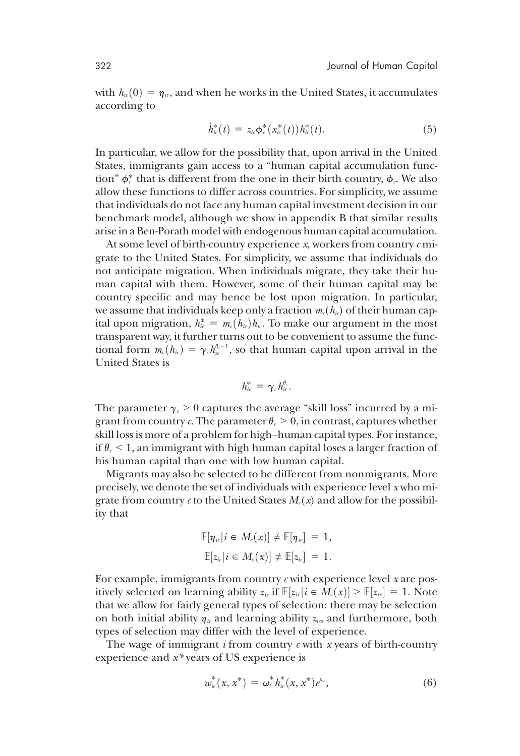with  $h_k(0) = \eta_k$ , and when he works in the United States, it accumulates according to

$$
\dot{h}_{ic}^*(t) = z_{ic} \phi_c^*(x_{ic}^*(t)) h_{ic}^*(t).
$$
 (5)

In particular, we allow for the possibility that, upon arrival in the United States, immigrants gain access to a "human capital accumulation function"  $\phi_{\epsilon}^*$  that is different from the one in their birth country,  $\phi_{\epsilon}$ . We also allow these functions to differ across countries. For simplicity, we assume that individuals do not face any human capital investment decision in our benchmark model, although we show in appendix B that similar results arise in a Ben-Porath model with endogenous human capital accumulation.

At some level of birth-country experience  $x$ , workers from country  $c$  migrate to the United States. For simplicity, we assume that individuals do not anticipate migration. When individuals migrate, they take their human capital with them. However, some of their human capital may be country specific and may hence be lost upon migration. In particular, we assume that individuals keep only a fraction  $m_c(h_{ic})$  of their human capital upon migration,  $h_{ic}^* = m_c(h_{ic})h_{ic}$ . To make our argument in the most transparent way, it further turns out to be convenient to assume the functional form  $m_e(h_{ie}) = \gamma_e h_{ie}^{\theta_e-1}$ , so that human capital upon arrival in the United States is United States is

$$
h^*_{ic} = \gamma_c h^{\theta_c}_{ic}.
$$

The parameter  $\gamma_c > 0$  captures the average "skill loss" incurred by a migrant from country c. The parameter  $\theta_c > 0$ , in contrast, captures whether skill loss is more of a problem for high–human capital types. For instance, if  $\theta_c$  < 1, an immigrant with high human capital loses a larger fraction of his human capital than one with low human capital.

Migrants may also be selected to be different from nonmigrants. More precisely, we denote the set of individuals with experience level x who migrate from country c to the United States  $M_c(x)$  and allow for the possibility that

$$
\mathbb{E}[\eta_{i\epsilon}|i \in M_{\epsilon}(x)] \neq \mathbb{E}[\eta_{i\epsilon}] = 1,
$$
  

$$
\mathbb{E}[z_{i\epsilon}|i \in M_{\epsilon}(x)] \neq \mathbb{E}[z_{i\epsilon}] = 1.
$$

For example, immigrants from country  $\epsilon$  with experience level  $x$  are positively selected on learning ability  $z_{i_c}$  if  $\mathbb{E}[z_{i_c}|i \in M_c(x)] > \mathbb{E}[z_{i_c}] = 1$ . Note that we allow for fairly general types of selection: there may be selection on both initial ability  $\eta_{ic}$  and learning ability  $z_{ic}$ , and furthermore, both types of selection may differ with the level of experience.

The wage of immigrant  $i$  from country  $c$  with  $x$  years of birth-country experience and x\* years of US experience is

$$
w_{ic}^{*}(x, x^{*}) = \omega_{c}^{*} h_{ic}^{*}(x, x^{*}) e^{c_{ic}}, \qquad (6)
$$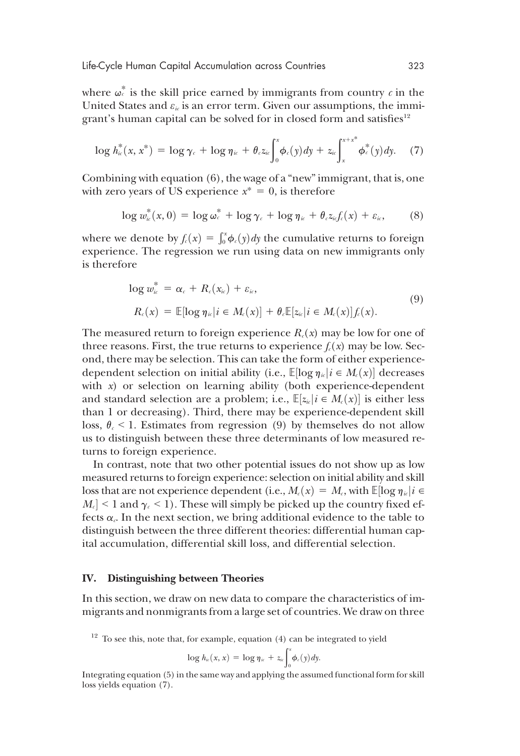where  $\omega_c^*$  is the skill price earned by immigrants from country  $c$  in the United States and  $\varepsilon_{i}$  is an error term. Given our assumptions, the immigrant's human capital can be solved for in closed form and satisfies<sup>12</sup>

$$
\log h_{ie}^*(x, x^*) = \log \gamma_e + \log \eta_{ie} + \theta_e z_{ie} \int_0^x \phi_e(y) dy + z_{ie} \int_x^{x+x^*} \phi_e^*(y) dy. \tag{7}
$$

Combining with equation (6), the wage of a "new"immigrant, that is, one with zero years of US experience  $x^* = 0$ , is therefore

$$
\log w_{ie}^*(x,0) = \log \omega_e^* + \log \gamma_e + \log \eta_{ie} + \theta_e z_{ie} f_e(x) + \varepsilon_{ie}, \qquad (8)
$$

where we denote by  $f_c(x) = \int_0^x \phi_c(y) dy$  the cumulative returns to foreign<br>experience. The regression we run using data on new immigrants only experience. The regression we run using data on new immigrants only is therefore

$$
\log w_{ie}^* = \alpha_c + R_c(x_{ie}) + \varepsilon_{ie},
$$
  
\n
$$
R_c(x) = \mathbb{E}[\log \eta_{ie} | i \in M_c(x)] + \theta_c \mathbb{E}[z_{ie} | i \in M_c(x)] f_c(x).
$$
\n(9)

The measured return to foreign experience  $R_c(x)$  may be low for one of three reasons. First, the true returns to experience  $f_c(x)$  may be low. Second, there may be selection. This can take the form of either experiencedependent selection on initial ability (i.e.,  $\mathbb{E}[\log \eta_{ie} | i \in M_c(x)]$  decreases<br>with x) or selection on learning ability (both experience-dependent with  $x$ ) or selection on learning ability (both experience-dependent and standard selection are a problem; i.e.,  $\mathbb{E}[z_k | i \in M_c(x)]$  is either less<br>than 1 or decreasing). Third, there may be experience-dependent skill than 1 or decreasing). Third, there may be experience-dependent skill loss,  $\theta_c$  < 1. Estimates from regression (9) by themselves do not allow us to distinguish between these three determinants of low measured returns to foreign experience.

In contrast, note that two other potential issues do not show up as low measured returns to foreign experience: selection on initial ability and skill loss that are not experience dependent (i.e.,  $M_c(x) = M_c$ , with  $\mathbb{E}[\log \eta_k | i \in$  $M_c$  < 1 and  $\gamma_c$  < 1). These will simply be picked up the country fixed effects  $\alpha$ . In the next section, we bring additional evidence to the table to fects  $\alpha_c$ . In the next section, we bring additional evidence to the table to distinguish between the three different theories: differential human capital accumulation, differential skill loss, and differential selection.

## IV. Distinguishing between Theories

In this section, we draw on new data to compare the characteristics of immigrants and nonmigrants from a large set of countries. We draw on three

 $12$  To see this, note that, for example, equation (4) can be integrated to yield

$$
\log h_{ic}(x, x) = \log \eta_{ic} + z_{ic} \int_0^x \phi_c(y) dy.
$$

Integrating equation (5) in the same way and applying the assumed functional form for skill loss yields equation (7).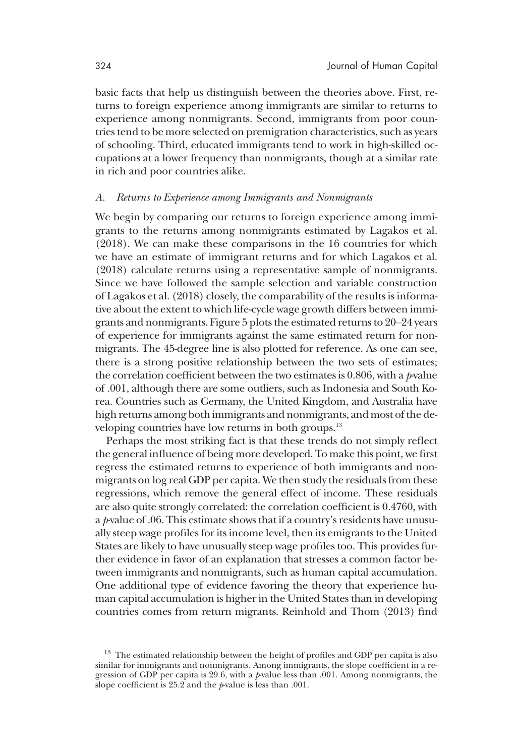basic facts that help us distinguish between the theories above. First, returns to foreign experience among immigrants are similar to returns to experience among nonmigrants. Second, immigrants from poor countries tend to be more selected on premigration characteristics, such as years of schooling. Third, educated immigrants tend to work in high-skilled occupations at a lower frequency than nonmigrants, though at a similar rate in rich and poor countries alike.

## A. Returns to Experience among Immigrants and Nonmigrants

We begin by comparing our returns to foreign experience among immigrants to the returns among nonmigrants estimated by Lagakos et al. (2018). We can make these comparisons in the 16 countries for which we have an estimate of immigrant returns and for which Lagakos et al. (2018) calculate returns using a representative sample of nonmigrants. Since we have followed the sample selection and variable construction of Lagakos et al. (2018) closely, the comparability of the results is informative about the extent to which life-cycle wage growth differs between immigrants and nonmigrants. Figure 5 plots the estimated returns to 20–24 years of experience for immigrants against the same estimated return for nonmigrants. The 45-degree line is also plotted for reference. As one can see, there is a strong positive relationship between the two sets of estimates; the correlation coefficient between the two estimates is 0.806, with a  $p$ -value of .001, although there are some outliers, such as Indonesia and South Korea. Countries such as Germany, the United Kingdom, and Australia have high returns among both immigrants and nonmigrants, and most of the developing countries have low returns in both groups.<sup>13</sup>

Perhaps the most striking fact is that these trends do not simply reflect the general influence of being more developed. To make this point, we first regress the estimated returns to experience of both immigrants and nonmigrants on log real GDP per capita. We then study the residuals from these regressions, which remove the general effect of income. These residuals are also quite strongly correlated: the correlation coefficient is 0.4760, with a  $p$ -value of .06. This estimate shows that if a country's residents have unusually steep wage profiles for its income level, then its emigrants to the United States are likely to have unusually steep wage profiles too. This provides further evidence in favor of an explanation that stresses a common factor between immigrants and nonmigrants, such as human capital accumulation. One additional type of evidence favoring the theory that experience human capital accumulation is higher in the United States than in developing countries comes from return migrants. Reinhold and Thom (2013) find

<sup>&</sup>lt;sup>13</sup> The estimated relationship between the height of profiles and GDP per capita is also similar for immigrants and nonmigrants. Among immigrants, the slope coefficient in a regression of GDP per capita is 29.6, with a  $p$ -value less than .001. Among nonmigrants, the slope coefficient is  $25.2$  and the *p*-value is less than .001.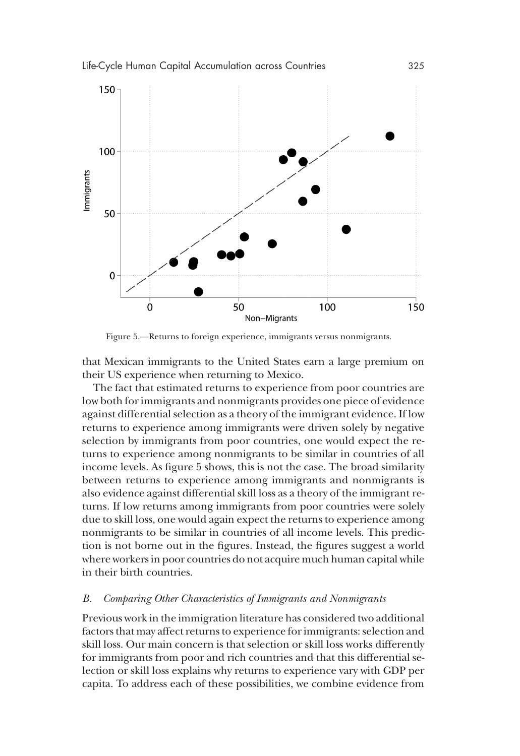

Figure 5.—Returns to foreign experience, immigrants versus nonmigrants.

that Mexican immigrants to the United States earn a large premium on their US experience when returning to Mexico.

The fact that estimated returns to experience from poor countries are low both for immigrants and nonmigrants provides one piece of evidence against differential selection as a theory of the immigrant evidence. If low returns to experience among immigrants were driven solely by negative selection by immigrants from poor countries, one would expect the returns to experience among nonmigrants to be similar in countries of all income levels. As figure 5 shows, this is not the case. The broad similarity between returns to experience among immigrants and nonmigrants is also evidence against differential skill loss as a theory of the immigrant returns. If low returns among immigrants from poor countries were solely due to skill loss, one would again expect the returns to experience among nonmigrants to be similar in countries of all income levels. This prediction is not borne out in the figures. Instead, the figures suggest a world where workers in poor countries do not acquire much human capital while in their birth countries.

## B. Comparing Other Characteristics of Immigrants and Nonmigrants

Previous work in the immigration literature has considered two additional factors that may affect returns to experience for immigrants: selection and skill loss. Our main concern is that selection or skill loss works differently for immigrants from poor and rich countries and that this differential selection or skill loss explains why returns to experience vary with GDP per capita. To address each of these possibilities, we combine evidence from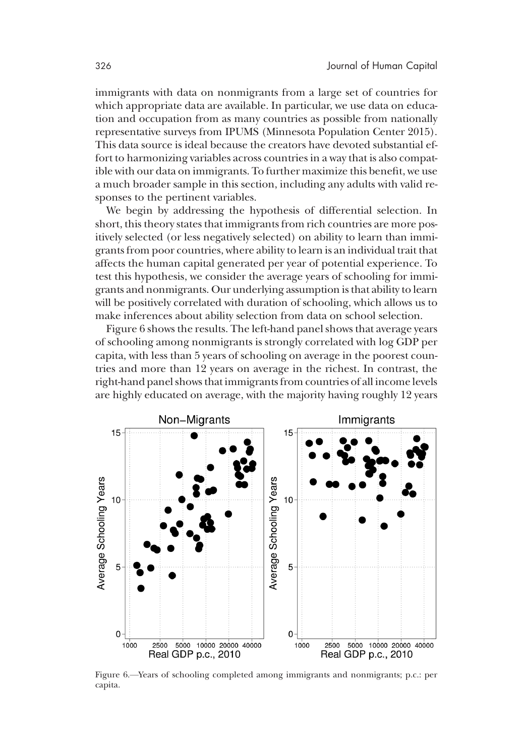immigrants with data on nonmigrants from a large set of countries for which appropriate data are available. In particular, we use data on education and occupation from as many countries as possible from nationally representative surveys from IPUMS (Minnesota Population Center 2015). This data source is ideal because the creators have devoted substantial effort to harmonizing variables across countries in a way that is also compatible with our data on immigrants. To further maximize this benefit, we use a much broader sample in this section, including any adults with valid responses to the pertinent variables.

We begin by addressing the hypothesis of differential selection. In short, this theory states that immigrants from rich countries are more positively selected (or less negatively selected) on ability to learn than immigrants from poor countries, where ability to learn is an individual trait that affects the human capital generated per year of potential experience. To test this hypothesis, we consider the average years of schooling for immigrants and nonmigrants. Our underlying assumption is that ability to learn will be positively correlated with duration of schooling, which allows us to make inferences about ability selection from data on school selection.

Figure 6 shows the results. The left-hand panel shows that average years of schooling among nonmigrants is strongly correlated with log GDP per capita, with less than 5 years of schooling on average in the poorest countries and more than 12 years on average in the richest. In contrast, the right-hand panel shows that immigrants from countries of all income levels are highly educated on average, with the majority having roughly 12 years



Figure 6.—Years of schooling completed among immigrants and nonmigrants; p.c.: per capita.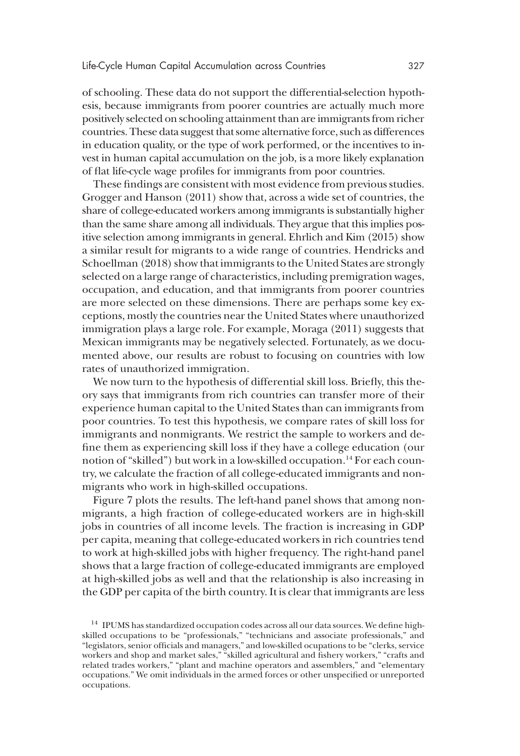of schooling. These data do not support the differential-selection hypothesis, because immigrants from poorer countries are actually much more positively selected on schooling attainment than are immigrants from richer countries. These data suggest that some alternative force, such as differences in education quality, or the type of work performed, or the incentives to invest in human capital accumulation on the job, is a more likely explanation of flat life-cycle wage profiles for immigrants from poor countries.

These findings are consistent with most evidence from previous studies. Grogger and Hanson (2011) show that, across a wide set of countries, the share of college-educated workers among immigrants is substantially higher than the same share among all individuals. They argue that this implies positive selection among immigrants in general. Ehrlich and Kim (2015) show a similar result for migrants to a wide range of countries. Hendricks and Schoellman (2018) show that immigrants to the United States are strongly selected on a large range of characteristics, including premigration wages, occupation, and education, and that immigrants from poorer countries are more selected on these dimensions. There are perhaps some key exceptions, mostly the countries near the United States where unauthorized immigration plays a large role. For example, Moraga (2011) suggests that Mexican immigrants may be negatively selected. Fortunately, as we documented above, our results are robust to focusing on countries with low rates of unauthorized immigration.

We now turn to the hypothesis of differential skill loss. Briefly, this theory says that immigrants from rich countries can transfer more of their experience human capital to the United States than can immigrants from poor countries. To test this hypothesis, we compare rates of skill loss for immigrants and nonmigrants. We restrict the sample to workers and define them as experiencing skill loss if they have a college education (our notion of "skilled") but work in a low-skilled occupation.<sup>14</sup> For each country, we calculate the fraction of all college-educated immigrants and nonmigrants who work in high-skilled occupations.

Figure 7 plots the results. The left-hand panel shows that among nonmigrants, a high fraction of college-educated workers are in high-skill jobs in countries of all income levels. The fraction is increasing in GDP per capita, meaning that college-educated workers in rich countries tend to work at high-skilled jobs with higher frequency. The right-hand panel shows that a large fraction of college-educated immigrants are employed at high-skilled jobs as well and that the relationship is also increasing in the GDP per capita of the birth country. It is clear that immigrants are less

<sup>&</sup>lt;sup>14</sup> IPUMS has standardized occupation codes across all our data sources. We define highskilled occupations to be "professionals," "technicians and associate professionals," and "legislators, senior officials and managers," and low-skilled ocupations to be "clerks, service workers and shop and market sales," "skilled agricultural and fishery workers," "crafts and related trades workers," "plant and machine operators and assemblers," and "elementary occupations." We omit individuals in the armed forces or other unspecified or unreported occupations.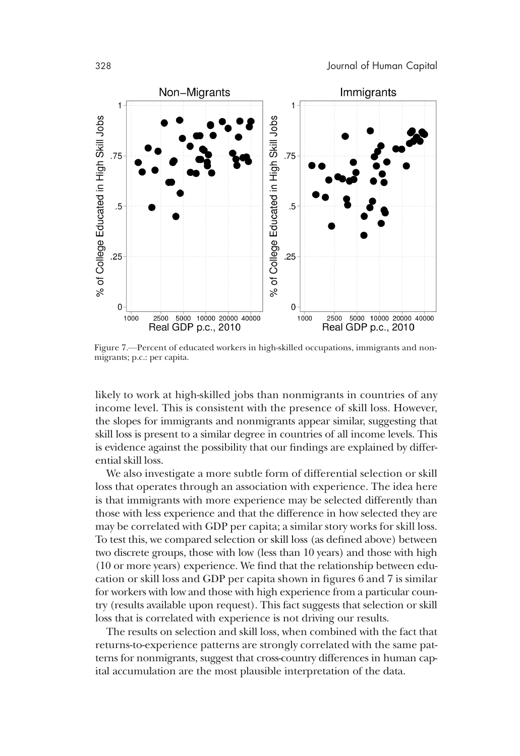

Figure 7.—Percent of educated workers in high-skilled occupations, immigrants and nonmigrants; p.c.: per capita.

likely to work at high-skilled jobs than nonmigrants in countries of any income level. This is consistent with the presence of skill loss. However, the slopes for immigrants and nonmigrants appear similar, suggesting that skill loss is present to a similar degree in countries of all income levels. This is evidence against the possibility that our findings are explained by differential skill loss.

We also investigate a more subtle form of differential selection or skill loss that operates through an association with experience. The idea here is that immigrants with more experience may be selected differently than those with less experience and that the difference in how selected they are may be correlated with GDP per capita; a similar story works for skill loss. To test this, we compared selection or skill loss (as defined above) between two discrete groups, those with low (less than 10 years) and those with high (10 or more years) experience. We find that the relationship between education or skill loss and GDP per capita shown in figures 6 and 7 is similar for workers with low and those with high experience from a particular country (results available upon request). This fact suggests that selection or skill loss that is correlated with experience is not driving our results.

The results on selection and skill loss, when combined with the fact that returns-to-experience patterns are strongly correlated with the same patterns for nonmigrants, suggest that cross-country differences in human capital accumulation are the most plausible interpretation of the data.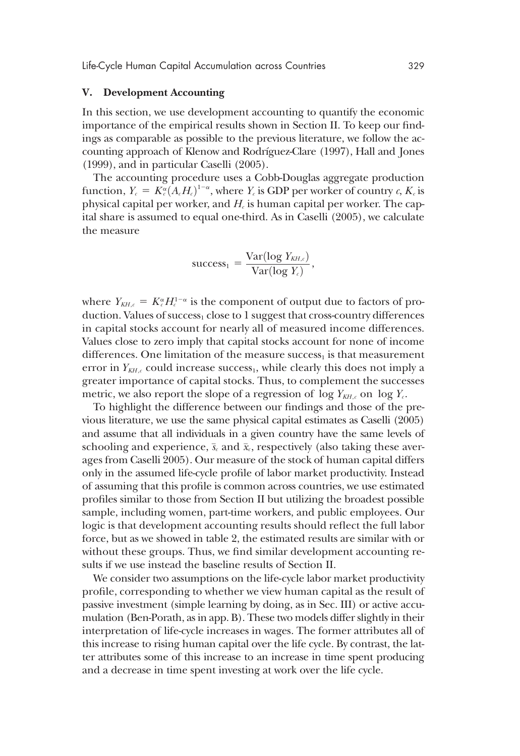## V. Development Accounting

In this section, we use development accounting to quantify the economic importance of the empirical results shown in Section II. To keep our findings as comparable as possible to the previous literature, we follow the accounting approach of Klenow and Rodríguez-Clare (1997), Hall and Jones (1999), and in particular Caselli (2005).

The accounting procedure uses a Cobb-Douglas aggregate production function,  $Y_c = K_c^{\alpha} (A_c H_c)^{1-\alpha}$ , where  $Y_c$  is GDP per worker of country  $c, K_c$  is<br>physical capital per worker, and H is buman capital per worker. The capphysical capital per worker, and  $H_c$  is human capital per worker. The capital share is assumed to equal one-third. As in Caselli (2005), we calculate the measure

$$
\text{success}_1 = \frac{\text{Var}(\log Y_{KH,c})}{\text{Var}(\log Y_c)},
$$

where  $Y_{KH,c} = K_c^{\alpha} H_c^{1-\alpha}$  is the component of output due to factors of production. Values of success<sub>1</sub> close to 1 suggest that cross-country differences in capital stocks account for nearly all of measured income differences. Values close to zero imply that capital stocks account for none of income differences. One limitation of the measure success $_1$  is that measurement error in  $Y_{KH,c}$  could increase success<sub>1</sub>, while clearly this does not imply a greater importance of capital stocks. Thus, to complement the successes metric, we also report the slope of a regression of  $\log Y_{\kappa H,c}$  on  $\log Y_c$ .

To highlight the difference between our findings and those of the previous literature, we use the same physical capital estimates as Caselli (2005) and assume that all individuals in a given country have the same levels of schooling and experience,  $\bar{s}_c$  and  $\bar{x}_c$ , respectively (also taking these aver-<br>ages from Caselli 2005). Our measure of the stock of human capital differs ages from Caselli 2005). Our measure of the stock of human capital differs only in the assumed life-cycle profile of labor market productivity. Instead of assuming that this profile is common across countries, we use estimated profiles similar to those from Section II but utilizing the broadest possible sample, including women, part-time workers, and public employees. Our logic is that development accounting results should reflect the full labor force, but as we showed in table 2, the estimated results are similar with or without these groups. Thus, we find similar development accounting results if we use instead the baseline results of Section II.

We consider two assumptions on the life-cycle labor market productivity profile, corresponding to whether we view human capital as the result of passive investment (simple learning by doing, as in Sec. III) or active accumulation (Ben-Porath, as in app. B). These two models differ slightly in their interpretation of life-cycle increases in wages. The former attributes all of this increase to rising human capital over the life cycle. By contrast, the latter attributes some of this increase to an increase in time spent producing and a decrease in time spent investing at work over the life cycle.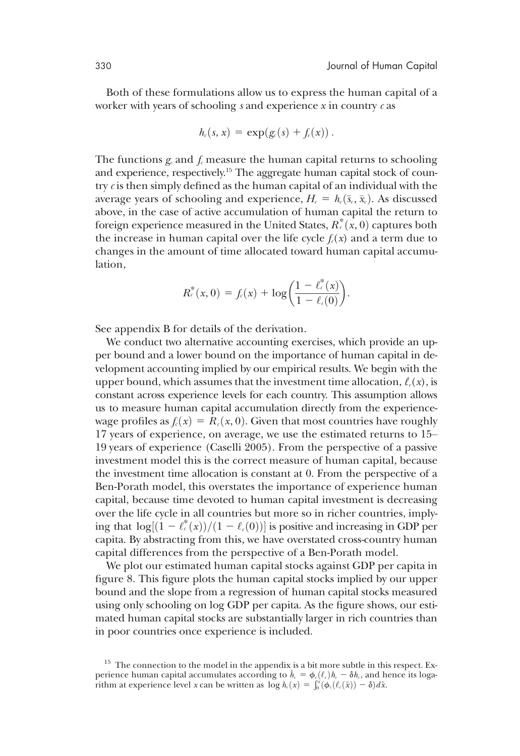Both of these formulations allow us to express the human capital of a worker with years of schooling s and experience x in country  $c$  as

$$
h_c(s,x) = \exp(g_c(s) + f_c(x)).
$$

The functions  $g_c$  and  $f_c$  measure the human capital returns to schooling and experience, respectively.<sup>15</sup> The aggregate human capital stock of country  $c$  is then simply defined as the human capital of an individual with the average years of schooling and experience,  $H_c = h_c(\bar{s}_c, \bar{x}_c)$ . As discussed<br>above in the case of active accumulation of human capital the return to above, in the case of active accumulation of human capital the return to foreign experience measured in the United States,  $R_c^*(x, 0)$  captures both the increase in human capital over the life cycle  $f(x)$  and a term due to the increase in human capital over the life cycle  $f(x)$  and a term due to changes in the amount of time allocated toward human capital accumulation,

$$
R_{\epsilon}^{*}(x, 0) = f_{\epsilon}(x) + \log \left( \frac{1 - \ell_{\epsilon}^{*}(x)}{1 - \ell_{\epsilon}(0)} \right).
$$

See appendix B for details of the derivation.

We conduct two alternative accounting exercises, which provide an upper bound and a lower bound on the importance of human capital in development accounting implied by our empirical results. We begin with the upper bound, which assumes that the investment time allocation,  $\ell_c(x)$ , is constant across experience levels for each country. This assumption allows us to measure human capital accumulation directly from the experiencewage profiles as  $f_c(x) = R_c(x, 0)$ . Given that most countries have roughly 17 years of experience, on average, we use the estimated returns to 15– 19 years of experience (Caselli 2005). From the perspective of a passive investment model this is the correct measure of human capital, because the investment time allocation is constant at 0. From the perspective of a Ben-Porath model, this overstates the importance of experience human capital, because time devoted to human capital investment is decreasing over the life cycle in all countries but more so in richer countries, implying that  $\log[(1 - \ell_{\epsilon}^*(x))/(1 - \ell_{\epsilon}(0))]$  is positive and increasing in GDP per capita. By abstracting from this, we have overstated cross-country human capital differences from the perspective of a Ben-Porath model.

We plot our estimated human capital stocks against GDP per capita in figure 8. This figure plots the human capital stocks implied by our upper bound and the slope from a regression of human capital stocks measured using only schooling on log GDP per capita. As the figure shows, our estimated human capital stocks are substantially larger in rich countries than in poor countries once experience is included.

 $15$  The connection to the model in the appendix is a bit more subtle in this respect. Experience human capital accumulates according to  $h_c = \phi_c(\ell_c)h_c - \delta h_c$ , and hence its logarithm at experience level x can be written as  $\log h_{\epsilon}(x) = \int_0^x (\phi_{\epsilon}(\ell_{\epsilon}(\tilde{x})) - \delta) d\tilde{x}$ .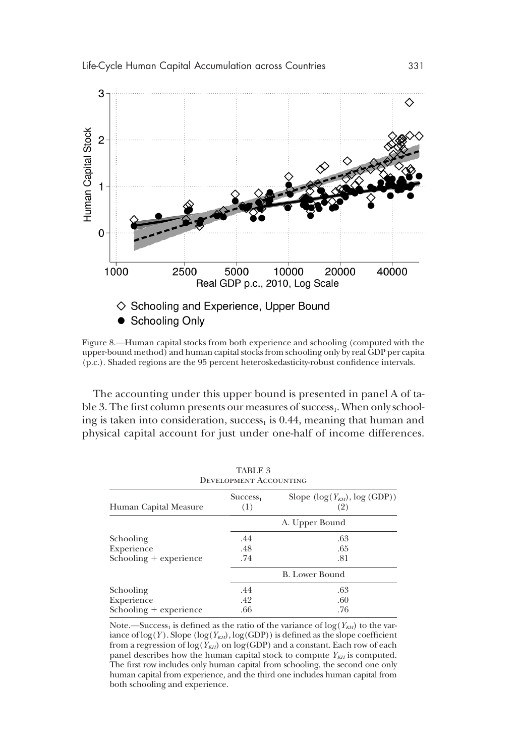

Figure 8.—Human capital stocks from both experience and schooling (computed with the upper-bound method) and human capital stocks from schooling only by real GDP per capita (p.c.). Shaded regions are the 95 percent heteroskedasticity-robust confidence intervals.

The accounting under this upper bound is presented in panel A of table 3. The first column presents our measures of success<sub>1</sub>. When only schooling is taken into consideration,  $success<sub>1</sub>$  is 0.44, meaning that human and physical capital account for just under one-half of income differences.

|                          | TABLE 3<br>DEVELOPMENT ACCOUNTING |                                        |  |  |
|--------------------------|-----------------------------------|----------------------------------------|--|--|
| Human Capital Measure    | $Success_{1}$<br>(1)              | Slope $(log(Y_{KH}), log(GDP))$<br>(2) |  |  |
|                          |                                   | A. Upper Bound                         |  |  |
| Schooling                | .44                               | .63                                    |  |  |
| Experience               | .48                               | .65                                    |  |  |
| $Schooling + experience$ | .74                               | .81                                    |  |  |
|                          | <b>B.</b> Lower Bound             |                                        |  |  |
| Schooling                | .44                               | .63                                    |  |  |
| Experience               | .42                               | .60                                    |  |  |
| Schooling + experience   | .66                               | .76                                    |  |  |

Note.—Success<sub>1</sub> is defined as the ratio of the variance of  $log(Y_{KH})$  to the variance of  $log(Y)$ . Slope  $(log(Y<sub>KH</sub>), log(GDP))$  is defined as the slope coefficient from a regression of  $\log(Y_{KH})$  on  $\log(GDP)$  and a constant. Each row of each panel describes how the human capital stock to compute  $Y_{KH}$  is computed. The first row includes only human capital from schooling, the second one only human capital from experience, and the third one includes human capital from both schooling and experience.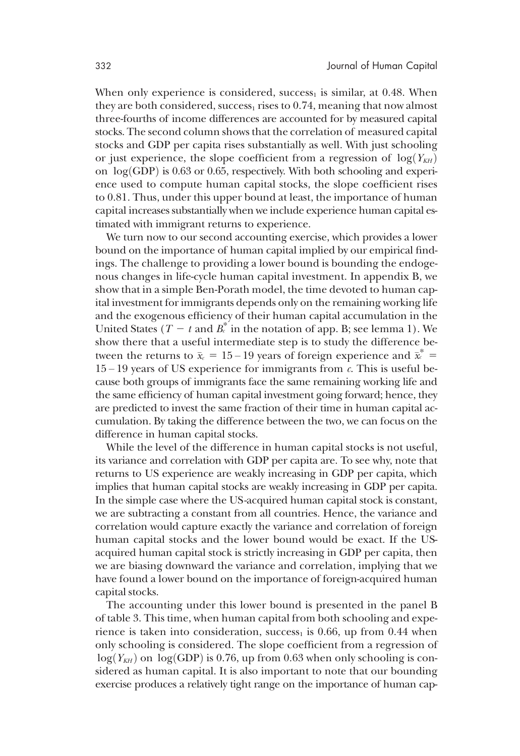When only experience is considered, success<sub>1</sub> is similar, at 0.48. When they are both considered, success<sub>1</sub> rises to  $0.74$ , meaning that now almost three-fourths of income differences are accounted for by measured capital stocks. The second column shows that the correlation of measured capital stocks and GDP per capita rises substantially as well. With just schooling or just experience, the slope coefficient from a regression of  $log(Y_{KH})$ on  $log(GDP)$  is 0.63 or 0.65, respectively. With both schooling and experience used to compute human capital stocks, the slope coefficient rises to 0.81. Thus, under this upper bound at least, the importance of human capital increases substantially when we include experience human capital estimated with immigrant returns to experience.

We turn now to our second accounting exercise, which provides a lower bound on the importance of human capital implied by our empirical findings. The challenge to providing a lower bound is bounding the endogenous changes in life-cycle human capital investment. In appendix B, we show that in a simple Ben-Porath model, the time devoted to human capital investment for immigrants depends only on the remaining working life and the exogenous efficiency of their human capital accumulation in the United States ( $T-t$  and  $B_{\epsilon}^*$  in the notation of app. B; see lemma 1). We show there that a useful intermediate step is to study the difference between the returns to  $\bar{x}_c = 15 - 19$  years of foreign experience and  $\bar{x}_c^* = 15 - 19$  years of US experience for immigrants from c. This is useful be- $15 - 19$  years of US experience for immigrants from  $\alpha$ . This is useful because both groups of immigrants face the same remaining working life and the same efficiency of human capital investment going forward; hence, they are predicted to invest the same fraction of their time in human capital accumulation. By taking the difference between the two, we can focus on the difference in human capital stocks.

While the level of the difference in human capital stocks is not useful, its variance and correlation with GDP per capita are. To see why, note that returns to US experience are weakly increasing in GDP per capita, which implies that human capital stocks are weakly increasing in GDP per capita. In the simple case where the US-acquired human capital stock is constant, we are subtracting a constant from all countries. Hence, the variance and correlation would capture exactly the variance and correlation of foreign human capital stocks and the lower bound would be exact. If the USacquired human capital stock is strictly increasing in GDP per capita, then we are biasing downward the variance and correlation, implying that we have found a lower bound on the importance of foreign-acquired human capital stocks.

The accounting under this lower bound is presented in the panel B of table 3. This time, when human capital from both schooling and experience is taken into consideration, success<sub>1</sub> is 0.66, up from 0.44 when only schooling is considered. The slope coefficient from a regression of  $log(Y_{KH})$  on  $log(GDP)$  is 0.76, up from 0.63 when only schooling is considered as human capital. It is also important to note that our bounding exercise produces a relatively tight range on the importance of human cap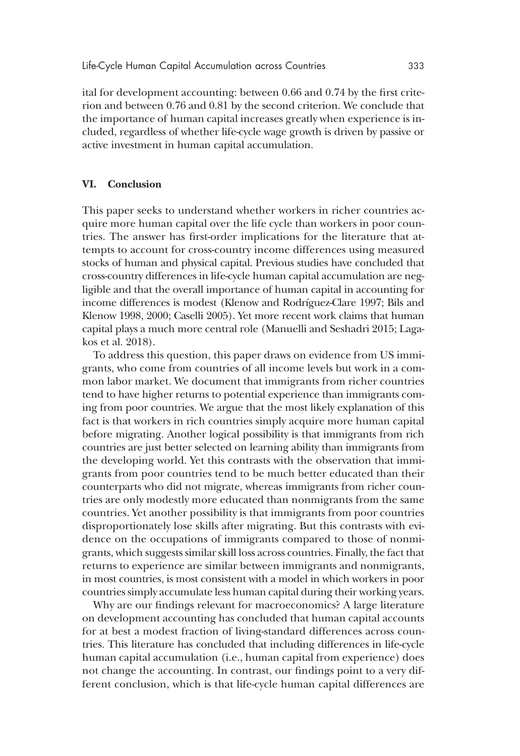ital for development accounting: between 0.66 and 0.74 by the first criterion and between 0.76 and 0.81 by the second criterion. We conclude that the importance of human capital increases greatly when experience is included, regardless of whether life-cycle wage growth is driven by passive or active investment in human capital accumulation.

# VI. Conclusion

This paper seeks to understand whether workers in richer countries acquire more human capital over the life cycle than workers in poor countries. The answer has first-order implications for the literature that attempts to account for cross-country income differences using measured stocks of human and physical capital. Previous studies have concluded that cross-country differences in life-cycle human capital accumulation are negligible and that the overall importance of human capital in accounting for income differences is modest (Klenow and Rodríguez-Clare 1997; Bils and Klenow 1998, 2000; Caselli 2005). Yet more recent work claims that human capital plays a much more central role (Manuelli and Seshadri 2015; Lagakos et al. 2018).

To address this question, this paper draws on evidence from US immigrants, who come from countries of all income levels but work in a common labor market. We document that immigrants from richer countries tend to have higher returns to potential experience than immigrants coming from poor countries. We argue that the most likely explanation of this fact is that workers in rich countries simply acquire more human capital before migrating. Another logical possibility is that immigrants from rich countries are just better selected on learning ability than immigrants from the developing world. Yet this contrasts with the observation that immigrants from poor countries tend to be much better educated than their counterparts who did not migrate, whereas immigrants from richer countries are only modestly more educated than nonmigrants from the same countries. Yet another possibility is that immigrants from poor countries disproportionately lose skills after migrating. But this contrasts with evidence on the occupations of immigrants compared to those of nonmigrants, which suggests similar skill loss across countries. Finally, the fact that returns to experience are similar between immigrants and nonmigrants, in most countries, is most consistent with a model in which workers in poor countries simply accumulate less human capital during their working years.

Why are our findings relevant for macroeconomics? A large literature on development accounting has concluded that human capital accounts for at best a modest fraction of living-standard differences across countries. This literature has concluded that including differences in life-cycle human capital accumulation (i.e., human capital from experience) does not change the accounting. In contrast, our findings point to a very different conclusion, which is that life-cycle human capital differences are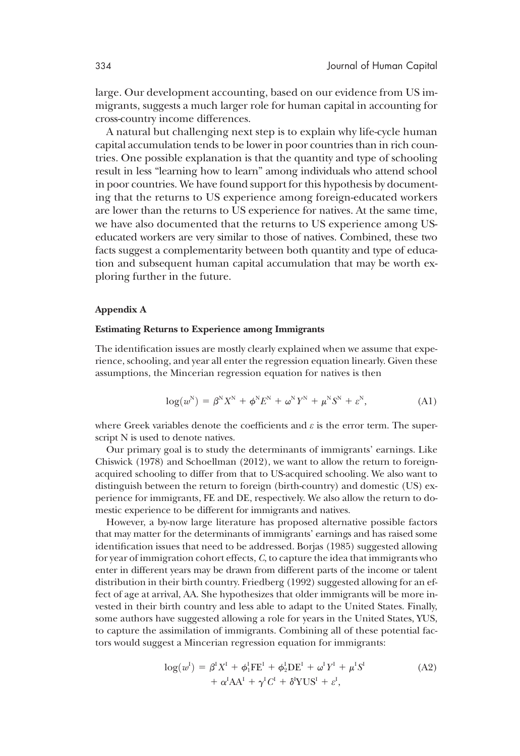large. Our development accounting, based on our evidence from US immigrants, suggests a much larger role for human capital in accounting for cross-country income differences.

A natural but challenging next step is to explain why life-cycle human capital accumulation tends to be lower in poor countries than in rich countries. One possible explanation is that the quantity and type of schooling result in less "learning how to learn" among individuals who attend school in poor countries. We have found support for this hypothesis by documenting that the returns to US experience among foreign-educated workers are lower than the returns to US experience for natives. At the same time, we have also documented that the returns to US experience among USeducated workers are very similar to those of natives. Combined, these two facts suggest a complementarity between both quantity and type of education and subsequent human capital accumulation that may be worth exploring further in the future.

#### Appendix A

#### Estimating Returns to Experience among Immigrants

The identification issues are mostly clearly explained when we assume that experience, schooling, and year all enter the regression equation linearly. Given these assumptions, the Mincerian regression equation for natives is then

$$
\log(w^N) = \beta^N X^N + \phi^N E^N + \omega^N Y^N + \mu^N S^N + \varepsilon^N,
$$
 (A1)

where Greek variables denote the coefficients and  $\varepsilon$  is the error term. The superscript N is used to denote natives.

Our primary goal is to study the determinants of immigrants' earnings. Like Chiswick (1978) and Schoellman (2012), we want to allow the return to foreignacquired schooling to differ from that to US-acquired schooling. We also want to distinguish between the return to foreign (birth-country) and domestic (US) experience for immigrants, FE and DE, respectively. We also allow the return to domestic experience to be different for immigrants and natives.

However, a by-now large literature has proposed alternative possible factors that may matter for the determinants of immigrants' earnings and has raised some identification issues that need to be addressed. Borjas (1985) suggested allowing for year of immigration cohort effects, C, to capture the idea that immigrants who enter in different years may be drawn from different parts of the income or talent distribution in their birth country. Friedberg (1992) suggested allowing for an effect of age at arrival, AA. She hypothesizes that older immigrants will be more invested in their birth country and less able to adapt to the United States. Finally, some authors have suggested allowing a role for years in the United States, YUS, to capture the assimilation of immigrants. Combining all of these potential factors would suggest a Mincerian regression equation for immigrants:

$$
\log(w^I) = \beta^I X^I + \phi_1^I F E^I + \phi_2^I D E^I + \omega^I Y^I + \mu^I S^I
$$
  
+ 
$$
\alpha^I A A^I + \gamma^I C^I + \delta^I Y U S^I + \varepsilon^I,
$$
 (A2)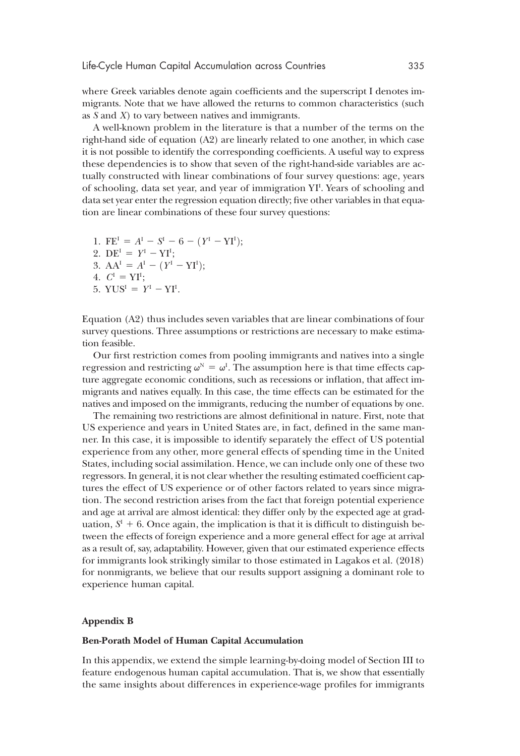where Greek variables denote again coefficients and the superscript I denotes immigrants. Note that we have allowed the returns to common characteristics (such as  $S$  and  $X$ ) to vary between natives and immigrants.

A well-known problem in the literature is that a number of the terms on the right-hand side of equation (A2) are linearly related to one another, in which case it is not possible to identify the corresponding coefficients. A useful way to express these dependencies is to show that seven of the right-hand-side variables are actually constructed with linear combinations of four survey questions: age, years of schooling, data set year, and year of immigration YI<sup>I</sup>. Years of schooling and data set year enter the regression equation directly; five other variables in that equation are linear combinations of these four survey questions:

1.  $FE^{I} = A^{I} - S^{I} - 6 - (Y^{I} - YI^{I});$ <br>9  $DF^{I} = Y^{I} - YI^{I}.$ 2.  $DE^{I} = Y^{I} - Y I^{I};$ 3.  $AA^I = A^I - (Y^I - YI^I);$ <br>4  $C^I = VI^I;$ 4.  $C^I = \text{YI}^I;$  $5. \text{ YUS}^{\text{I}} = Y^{\text{I}} - \text{YI}^{\text{I}}.$ 

Equation (A2) thus includes seven variables that are linear combinations of four survey questions. Three assumptions or restrictions are necessary to make estimation feasible.

Our first restriction comes from pooling immigrants and natives into a single regression and restricting  $\omega^N = \omega^I$ . The assumption here is that time effects capture aggregate economic conditions, such as recessions or inflation, that affect immigrants and natives equally. In this case, the time effects can be estimated for the natives and imposed on the immigrants, reducing the number of equations by one.

The remaining two restrictions are almost definitional in nature. First, note that US experience and years in United States are, in fact, defined in the same manner. In this case, it is impossible to identify separately the effect of US potential experience from any other, more general effects of spending time in the United States, including social assimilation. Hence, we can include only one of these two regressors. In general, it is not clear whether the resulting estimated coefficient captures the effect of US experience or of other factors related to years since migration. The second restriction arises from the fact that foreign potential experience and age at arrival are almost identical: they differ only by the expected age at graduation,  $S<sup>I</sup> + 6$ . Once again, the implication is that it is difficult to distinguish between the effects of foreign experience and a more general effect for age at arrival as a result of, say, adaptability. However, given that our estimated experience effects for immigrants look strikingly similar to those estimated in Lagakos et al. (2018) for nonmigrants, we believe that our results support assigning a dominant role to experience human capital.

## Appendix B

#### Ben-Porath Model of Human Capital Accumulation

In this appendix, we extend the simple learning-by-doing model of Section III to feature endogenous human capital accumulation. That is, we show that essentially the same insights about differences in experience-wage profiles for immigrants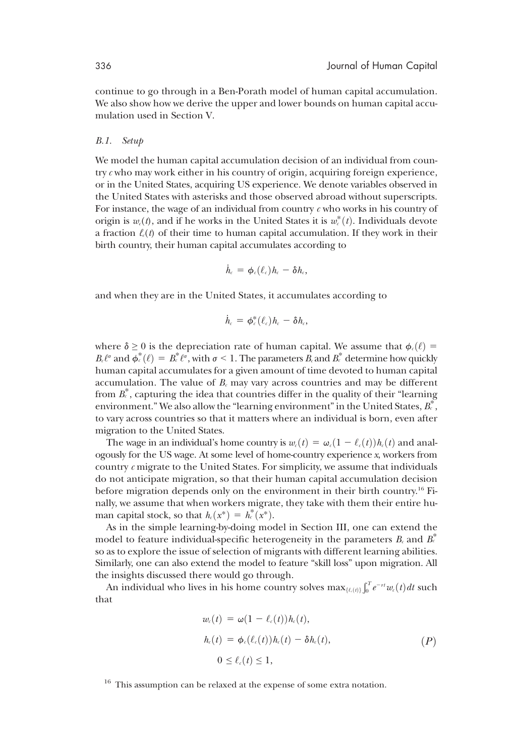continue to go through in a Ben-Porath model of human capital accumulation. We also show how we derive the upper and lower bounds on human capital accumulation used in Section V.

#### B.1. Setup

We model the human capital accumulation decision of an individual from country  $c$  who may work either in his country of origin, acquiring foreign experience, or in the United States, acquiring US experience. We denote variables observed in the United States with asterisks and those observed abroad without superscripts. For instance, the wage of an individual from country  $c$  who works in his country of origin is  $w_c(t)$ , and if he works in the United States it is  $w_c^*(t)$ . Individuals devote<br>a fraction  $\ell(t)$  of their time to human capital accumulation. If they work in their a fraction  $l_c(t)$  of their time to human capital accumulation. If they work in their birth country, their human capital accumulates according to

$$
\dot{h}_c = \phi_c(\ell_c) h_c - \delta h_c,
$$

and when they are in the United States, it accumulates according to

$$
\dot{h}_c = \boldsymbol{\phi}_c^*(\ell_c) h_c - \delta h_c,
$$

where  $\delta \ge 0$  is the depreciation rate of human capital. We assume that  $\phi_c(\ell)$  =  $B_{\epsilon} \ell^{\sigma}$  and  $\phi_{\epsilon}^{*}(\ell) = B_{\epsilon}^{*} \ell^{\sigma}$ , with  $\sigma < 1$ . The parameters  $B_{\epsilon}$  and  $B_{\epsilon}^{*}$  determine how quickly human capital accumulates for a given amount of time devoted to human capital accumulation. The value of  $B<sub>c</sub>$  may vary across countries and may be different from  $\overline{B^*_c}$  , capturing the idea that countries differ in the quality of their "learning environment." We also allow the "learning environment" in the United States,  $B_{\epsilon}^*$  , to vary across countries so that it matters where an individual is born, even after migration to the United States.

The wage in an individual's home country is  $w_c(t) = \omega_c(1 - \ell_c(t))h_c(t)$  and analogously for the US wage. At some level of home-country experience x, workers from country  $c$  migrate to the United States. For simplicity, we assume that individuals do not anticipate migration, so that their human capital accumulation decision before migration depends only on the environment in their birth country.16 Finally, we assume that when workers migrate, they take with them their entire human capital stock, so that  $h_c(x^*) = h_c^*(x^*)$ .<br>As in the simple learning by doing model

As in the simple learning-by-doing model in Section III, one can extend the model to feature individual-specific heterogeneity in the parameters  $B_c$  and  $B_c^*$ so as to explore the issue of selection of migrants with different learning abilities. Similarly, one can also extend the model to feature "skill loss" upon migration. All the insights discussed there would go through.

An individual who lives in his home country solves  $\max_{\{\ell_i(t)\}} \int_0^T e^{-rt} w_\ell(t) dt$  such that

$$
w_{\epsilon}(t) = \omega(1 - \ell_{\epsilon}(t))h_{\epsilon}(t),
$$
  
\n
$$
h_{\epsilon}(t) = \phi_{\epsilon}(\ell_{\epsilon}(t))h_{\epsilon}(t) - \delta h_{\epsilon}(t),
$$
  
\n
$$
0 \leq \ell_{\epsilon}(t) \leq 1,
$$
\n(P)

<sup>&</sup>lt;sup>16</sup> This assumption can be relaxed at the expense of some extra notation.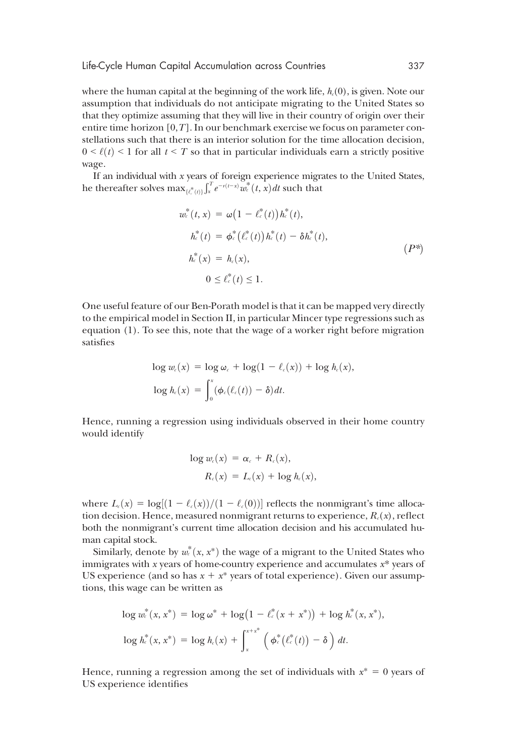where the human capital at the beginning of the work life,  $h_c(0)$ , is given. Note our assumption that individuals do not anticipate migrating to the United States so that they optimize assuming that they will live in their country of origin over their entire time horizon  $[0, T]$ . In our benchmark exercise we focus on parameter constellations such that there is an interior solution for the time allocation decision,  $0 \leq \ell(t) \leq 1$  for all  $t \leq T$  so that in particular individuals earn a strictly positive wage.

If an individual with x years of foreign experience migrates to the United States, he thereafter solves  $\max_{\{\ell_i^*(t)\}} \int_x^T e^{-r(t-x)} w_i^*(t, x) dt$  such that

$$
w_{c}^{*}(t, x) = \omega \left(1 - \ell_{c}^{*}(t)\right) h_{c}^{*}(t),
$$
\n
$$
h_{c}^{*}(t) = \phi_{c}^{*}\left(\ell_{c}^{*}(t)\right) h_{c}^{*}(t) - \delta h_{c}^{*}(t),
$$
\n
$$
h_{c}^{*}(x) = h_{c}(x),
$$
\n
$$
0 \leq \ell_{c}^{*}(t) \leq 1.
$$
\n(P\*)

One useful feature of our Ben-Porath model is that it can be mapped very directly to the empirical model in Section II, in particular Mincer type regressions such as equation (1). To see this, note that the wage of a worker right before migration satisfies

$$
\log w_c(x) = \log \omega_c + \log(1 - \ell_c(x)) + \log h_c(x),
$$
  

$$
\log h_c(x) = \int_0^x (\phi_c(\ell_c(t)) - \delta) dt.
$$

Hence, running a regression using individuals observed in their home country would identify

$$
\log w_c(x) = \alpha_c + R_c(x),
$$
  
\n
$$
R_c(x) = L_c(x) + \log h_c(x),
$$

where  $L_c(x) = \log[(1 - \ell_c(x))/(1 - \ell_c(0))]$  reflects the nonmigrant's time alloca-<br>tion decision. Hence, measured nonmigrant returns to experience  $R(x)$  reflect tion decision. Hence, measured nonmigrant returns to experience,  $R_c(x)$ , reflect both the nonmigrant's current time allocation decision and his accumulated human capital stock.

Similarly, denote by  $w^*(x, x^*)$  the wage of a migrant to the United States who migrates with x years of home country experience and accumulates  $x^*$  years of immigrates with  $x$  years of home-country experience and accumulates  $x^*$  years of US experience (and so has  $x + x^*$  years of total experience). Given our assumptions, this wage can be written as

$$
\log w_{\epsilon}^{*}(x, x^{*}) = \log \omega^{*} + \log (1 - \ell_{\epsilon}^{*}(x + x^{*})) + \log h_{\epsilon}^{*}(x, x^{*}),
$$
  

$$
\log h_{\epsilon}^{*}(x, x^{*}) = \log h_{\epsilon}(x) + \int_{x}^{x + x^{*}} \left( \phi_{\epsilon}^{*}(\ell_{\epsilon}^{*}(t)) - \delta \right) dt.
$$

Hence, running a regression among the set of individuals with  $x^* = 0$  years of US experience identifies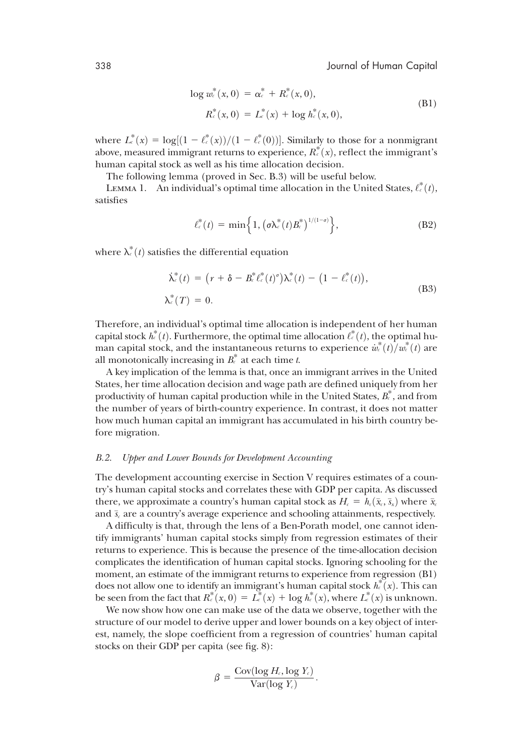$$
\log w_{\epsilon}^{*}(x,0) = \alpha_{\epsilon}^{*} + R_{\epsilon}^{*}(x,0),
$$
  
\n
$$
R_{\epsilon}^{*}(x,0) = L_{\epsilon}^{*}(x) + \log h_{\epsilon}^{*}(x,0),
$$
\n(B1)

where  $L_{\varepsilon}^{*}(x) = \log[(1 - \ell_{\varepsilon}^{*}(x))/(1 - \ell_{\varepsilon}^{*}(0))]$ . Similarly to those for a nonmigrant above measured immigrant returns to experience  $R^{*}(x)$  reflect the immigrant's above, measured immigrant returns to experience,  $R_e^*(x)$ , reflect the immigrant's<br>buman capital stock as well as his time allocation decision human capital stock as well as his time allocation decision.

The following lemma (proved in Sec. B.3) will be useful below.

LEMMA 1. An individual's optimal time allocation in the United States,  $\ell_{\epsilon}^{*}(t)$ , satisfies

$$
\ell_{c}^{*}(t) = \min\left\{1, \left(\sigma \lambda_{c}^{*}(t) B_{c}^{*}\right)^{1/(1-\sigma)}\right\},\tag{B2}
$$

where  $\lambda_{c}^{*}(t)$  satisfies the differential equation

$$
\dot{\lambda}_{\epsilon}^{*}(t) = \left(r + \delta - B_{\epsilon}^{*} \ell_{\epsilon}^{*}(t)^{\sigma}\right) \lambda_{\epsilon}^{*}(t) - \left(1 - \ell_{\epsilon}^{*}(t)\right),
$$
\n
$$
\lambda_{\epsilon}^{*}(T) = 0.
$$
\n(B3)

Therefore, an individual's optimal time allocation is independent of her human capital stock  $h_{\epsilon}^{*}(t)$ . Furthermore, the optimal time allocation  $\ell_{\epsilon}^{*}(t)$ , the optimal hu-<br>man capital stock, and the instantaneous returns to experience  $\dot{m}^{*}(t)/m^{*}(t)$  are man capital stock, and the instantaneous returns to experience  $\dot{w}_c^*(t)/w_c^*(t)$  are<br>all monotonically increasing in  $R^*$  at each time t all monotonically increasing in  $B_{c}^{*}$  at each time  $t$ .

A key implication of the lemma is that, once an immigrant arrives in the United States, her time allocation decision and wage path are defined uniquely from her productivity of human capital production while in the United States,  $B_{\epsilon}^*$  , and from the number of years of birth-country experience. In contrast, it does not matter how much human capital an immigrant has accumulated in his birth country before migration.

## B.2. Upper and Lower Bounds for Development Accounting

The development accounting exercise in Section V requires estimates of a country's human capital stocks and correlates these with GDP per capita. As discussed there, we approximate a country's human capital stock as  $H_c = h_c(\bar{x}_c, \bar{s}_x)$  where  $\bar{x}_c$ <br>and  $\bar{s}_c$  are a country's average experience and schooling attainments, respectively and  $\bar{s}_e$  are a country's average experience and schooling attainments, respectively.<br>A difficulty is that through the lens of a Ben-Porath model, one cannot identified.

A difficulty is that, through the lens of a Ben-Porath model, one cannot identify immigrants' human capital stocks simply from regression estimates of their returns to experience. This is because the presence of the time-allocation decision complicates the identification of human capital stocks. Ignoring schooling for the moment, an estimate of the immigrant returns to experience from regression (B1) does not allow one to identify an immigrant's human capital stock  $h_e^*(x)$ . This can<br>be seen from the fact that  $R^*(x, 0) = I^*(x) + \log h_e^*(x)$  where  $I^*(x)$  is unknown be seen from the fact that  $R_{\epsilon}^{*}(x, 0) = L_{\epsilon}^{*}(x) + \log h_{\epsilon}^{*}(x)$ , where  $L_{\epsilon}^{*}(x)$  is unknown.

We now show how one can make use of the data we observe, together with the structure of our model to derive upper and lower bounds on a key object of interest, namely, the slope coefficient from a regression of countries' human capital stocks on their GDP per capita (see fig. 8):

$$
\beta = \frac{\text{Cov}(\log H_c, \log Y_c)}{\text{Var}(\log Y_c)}.
$$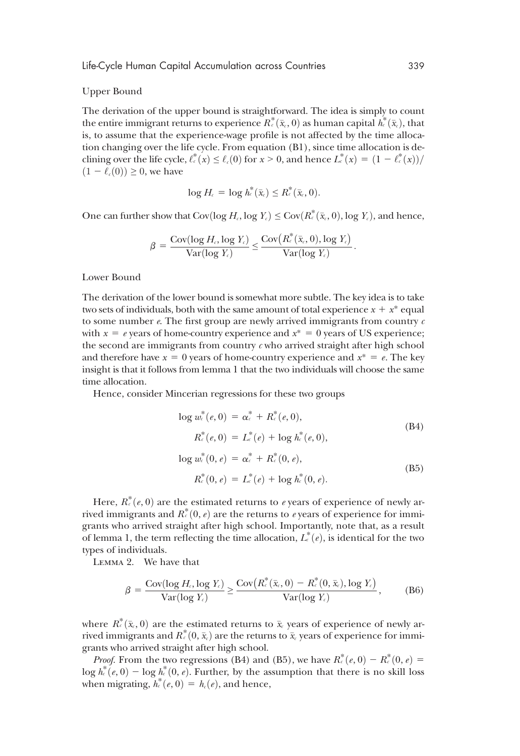## Upper Bound

The derivation of the upper bound is straightforward. The idea is simply to count the entire immigrant returns to experience  $R_c^*(\bar{x}_c, 0)$  as human capital  $h_c^*(\bar{x}_c)$ , that is to assume that the experience-wage profile is not affected by the time allocais, to assume that the experience-wage profile is not affected by the time allocation changing over the life cycle. From equation (B1), since time allocation is declining over the life cycle,  $\ell_{\epsilon}^{*}(x) \leq \ell_{\epsilon}(0)$  for  $x > 0$ , and hence  $L_{\epsilon}^{*}(x) = (1 - \ell_{\epsilon}^{*}(x))/1 - \ell(0) > 0$ , we have  $(1 - \ell<sub>c</sub>(0)) \geq 0$ , we have

$$
\log H_{\epsilon} = \log h_{\epsilon}^*(\bar{x}_{\epsilon}) \leq R_{\epsilon}^*(\bar{x}_{\epsilon}, 0).
$$

One can further show that  $Cov(\log H_c, \log Y_c) \le Cov(R_c^*(\bar{x}_c, 0), \log Y_c)$ , and hence,

$$
\beta = \frac{\text{Cov}(\log H_{\epsilon}, \log Y_{\epsilon})}{\text{Var}(\log Y_{\epsilon})} \leq \frac{\text{Cov}\big(R_{\epsilon}^{*}(\bar{x}_{\epsilon}, 0), \log Y_{\epsilon}\big)}{\text{Var}(\log Y_{\epsilon})}.
$$

Lower Bound

The derivation of the lower bound is somewhat more subtle. The key idea is to take two sets of individuals, both with the same amount of total experience  $x + x^*$  equal to some number  $e$ . The first group are newly arrived immigrants from country  $c$ with  $x = e$  years of home-country experience and  $x^* = 0$  years of US experience; the second are immigrants from country  $c$  who arrived straight after high school and therefore have  $x = 0$  years of home-country experience and  $x^* = e$ . The key insight is that it follows from lemma 1 that the two individuals will choose the same time allocation.

Hence, consider Mincerian regressions for these two groups

$$
\log w_{\epsilon}^{*}(e, 0) = \alpha_{\epsilon}^{*} + R_{\epsilon}^{*}(e, 0),
$$
\n
$$
R_{\epsilon}^{*}(e, 0) = L_{\epsilon}^{*}(e) + \log h_{\epsilon}^{*}(e, 0),
$$
\n
$$
\log w_{\epsilon}^{*}(0, e) = \alpha_{\epsilon}^{*} + R_{\epsilon}^{*}(0, e),
$$
\n
$$
R_{\epsilon}^{*}(0, e) = L_{\epsilon}^{*}(e) + \log h_{\epsilon}^{*}(0, e).
$$
\n(B5)

Here,  $R_{\epsilon}^{*}(e, 0)$  are the estimated returns to eyears of experience of newly are  $\epsilon$  immigrants and  $R^{*}(0,e)$  are the returns to events of experience for immigrants rived immigrants and  $R_c^*(0, e)$  are the returns to eyears of experience for immigrants who arrived straight after high school. Importantly, note that as a result grants who arrived straight after high school. Importantly, note that, as a result of lemma 1, the term reflecting the time allocation,  $L^*(e)$ , is identical for the two types of individuals types of individuals.

Lemma 2. We have that

$$
\beta = \frac{\text{Cov}(\log H_c, \log Y_c)}{\text{Var}(\log Y_c)} \ge \frac{\text{Cov}\big(R_c^*(\bar{x}_c, 0) - R_c^*(0, \bar{x}_c), \log Y_c\big)}{\text{Var}(\log Y_c)},\tag{B6}
$$

where  $R_c^*(\bar{x}_e, 0)$  are the estimated returns to  $\bar{x}_e$  years of experience of newly ar-<br>rived immigrants and  $R^*(0, \bar{x})$  are the returns to  $\bar{x}_e$  years of experience for immirived immigrants and  $R_c^*(0, \bar{x}_c)$  are the returns to  $\bar{x}_c$  years of experience for immigrants who arrived straight after high school. grants who arrived straight after high school.

*Proof.* From the two regressions (B4) and (B5), we have  $R_c^*(e, 0) - R_c^*(0, e) =$ <br> $r h^*(e, 0) - \log h^*(0, e)$ . Further, by the assumption that there is no skill loss  $\log h_e^*(e, 0) - \log h_e^*(0, e)$ . Further, by the assumption that there is no skill loss when migrating,  $h_{\epsilon}^{*}(e, 0) = h_{\epsilon}(e)$ , and hence,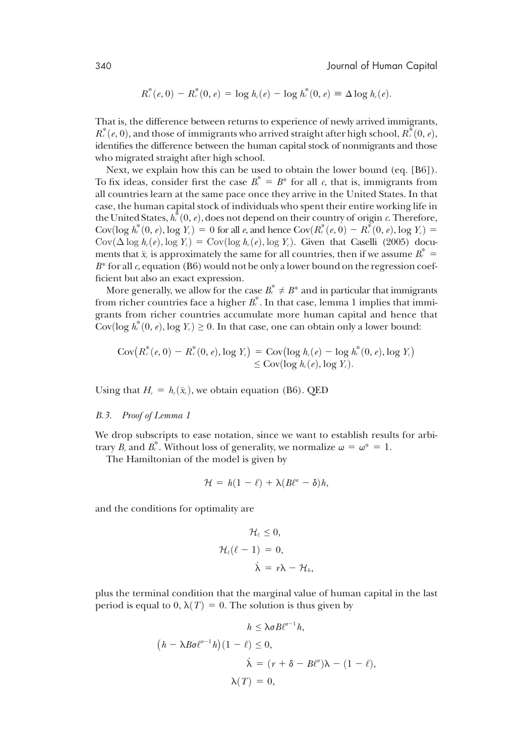$$
R_{c}^{*}(e, 0) - R_{c}^{*}(0, e) = \log h_{c}(e) - \log h_{c}^{*}(0, e) \equiv \Delta \log h_{c}(e).
$$

That is, the difference between returns to experience of newly arrived immigrants,  $R_c^*(e, 0)$ , and those of immigrants who arrived straight after high school,  $R_c^*(0, e)$ , identifies the difference between the buman capital stock of nonmigrants and those identifies the difference between the human capital stock of nonmigrants and those who migrated straight after high school.

Next, we explain how this can be used to obtain the lower bound (eq. [B6]). To fix ideas, consider first the case  $B_{\epsilon}^* = B^*$  for all c, that is, immigrants from all countries learn at the same pace once they arrive in the United States. In that case, the human capital stock of individuals who spent their entire working life in the United States,  $h_e^*(0, e)$ , does not depend on their country of origin c. Therefore,<br>Cov(log  $h^*(0, e)$ , log  $V$ ) = 0 for all e and hence  $Cov(P_1^*(e, 0) - P_1^*(0, e))$  log  $V$ ) =  $\text{Cov}(\log h_{\epsilon}^{*}(0, e), \log Y_{\epsilon}) = 0$  for all e, and hence  $\text{Cov}(R_{\epsilon}^{*}(e, 0) - R_{\epsilon}^{*}(0, e), \log Y_{\epsilon}) =$ <br> $\text{Cov}(\Delta \log h_{\epsilon}(e), \log Y) = \text{Cov}(\log h_{\epsilon}(e), \log Y)$ . Given that Caselli (2005) docu- $Cov(\Delta \log h_c(e), \log Y_c) = Cov(\log h_c(e), \log Y_c)$ . Given that Caselli (2005) documents that  $\bar{x}_e$  is approximately the same for all countries, then if we assume  $B_e^* = R^*$  for all c equation (B6) would not be only a lower bound on the regression coef- $B^*$  for all c, equation (B6) would not be only a lower bound on the regression coefficient but also an exact expression.

More generally, we allow for the case  $B_\epsilon^*\neq B^*$  and in particular that immigrants from richer countries face a higher  $\overline{B_{\varepsilon}^*}$  . In that case, lemma  $1$  implies that immigrants from richer countries accumulate more human capital and hence that Cov(log  $h_e^*(0, e)$ , log  $Y_e \geq 0$ . In that case, one can obtain only a lower bound:

$$
\mathrm{Cov}\big(R^*_\epsilon(e,0)-R^*_\epsilon(0,e),\log Y_\epsilon\big)=\mathrm{Cov}\big(\log h_\epsilon(e)-\log h_\epsilon^*(0,e),\log Y_\epsilon\big)\newline \leq \mathrm{Cov}\big(\log h_\epsilon(e),\log Y_\epsilon\big).
$$

Using that  $H_c = h_c(\bar{x}_c)$ , we obtain equation (B6). QED

#### B.3. Proof of Lemma 1

We drop subscripts to ease notation, since we want to establish results for arbitrary  $B_c$  and  $B_c^*$ . Without loss of generality, we normalize  $\omega = \omega^* = 1$ .

The Hamiltonian of the model is given by

$$
\mathcal{H} = h(1-\ell) + \lambda (B\ell^{\sigma} - \delta)h,
$$

and the conditions for optimality are

$$
\mathcal{H}_{\ell} \leq 0,
$$
  

$$
\mathcal{H}_{\ell}(\ell - 1) = 0,
$$
  

$$
\dot{\lambda} = r\lambda - \mathcal{H}_{\ell},
$$

plus the terminal condition that the marginal value of human capital in the last period is equal to 0,  $\lambda(T) = 0$ . The solution is thus given by

$$
h \leq \lambda \sigma B \ell^{\sigma-1} h,
$$
  
\n
$$
(h - \lambda B \sigma \ell^{\sigma-1} h)(1 - \ell) \leq 0,
$$
  
\n
$$
\dot{\lambda} = (r + \delta - B \ell^{\sigma}) \lambda - (1 - \ell),
$$
  
\n
$$
\lambda(T) = 0,
$$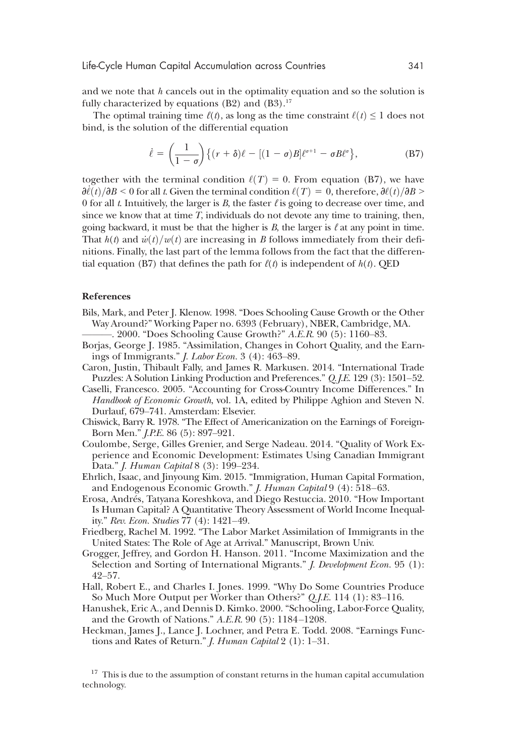and we note that  $h$  cancels out in the optimality equation and so the solution is fully characterized by equations  $(B2)$  and  $(B3)$ .<sup>17</sup>

The optimal training time  $\ell(t)$ , as long as the time constraint  $\ell(t) \leq 1$  does not bind, is the solution of the differential equation

$$
\dot{\ell} = \left(\frac{1}{1-\sigma}\right) \left\{ (r+\delta)\ell - [(1-\sigma)B]\ell^{\sigma+1} - \sigma B \ell^{\sigma} \right\},\tag{B7}
$$

together with the terminal condition  $\ell(T) = 0$ . From equation (B7), we have  $\frac{\partial \ell(t)}{\partial B} < 0$  for all t. Given the terminal condition  $\ell(T) = 0$ , therefore,  $\frac{\partial \ell(t)}{\partial B} > 0$  for all t. Intuitively the larger is R the faster L is going to decrease over time, and 0 for all t. Intuitively, the larger is B, the faster  $\ell$  is going to decrease over time, and since we know that at time  $T$ , individuals do not devote any time to training, then, going backward, it must be that the higher is  $B$ , the larger is  $\ell$  at any point in time. That  $h(t)$  and  $\dot{w}(t)/w(t)$  are increasing in B follows immediately from their definitions. Finally, the last part of the lemma follows from the fact that the differential equation (B7) that defines the path for  $\ell(t)$  is independent of  $h(t)$ . QED

## References

- Bils, Mark, and Peter J. Klenow. 1998. "Does Schooling Cause Growth or the Other Way Around?" Working Paper no. 6393 (February), NBER, Cambridge, MA.
- ., 2000. "Does Schooling Cause Growth?" *A.E.R.* 90 (5): 1160–83.
- Borjas, George J. 1985. "Assimilation, Changes in Cohort Quality, and the Earnings of Immigrants." J. Labor Econ. 3 (4): 463–89.
- Caron, Justin, Thibault Fally, and James R. Markusen. 2014. "International Trade Puzzles: A Solution Linking Production and Preferences." Q. J.E. 129 (3): 1501–52.
- Caselli, Francesco. 2005. "Accounting for Cross-Country Income Differences." In Handbook of Economic Growth, vol. 1A, edited by Philippe Aghion and Steven N. Durlauf, 679–741. Amsterdam: Elsevier.
- Chiswick, Barry R. 1978. "The Effect of Americanization on the Earnings of Foreign-Born Men." J.P.E. 86 (5): 897–921.
- Coulombe, Serge, Gilles Grenier, and Serge Nadeau. 2014. "Quality of Work Experience and Economic Development: Estimates Using Canadian Immigrant Data." *J. Human Capital* 8 (3): 199-234.
- Ehrlich, Isaac, and Jinyoung Kim. 2015. "Immigration, Human Capital Formation, and Endogenous Economic Growth." J. Human Capital 9 (4): 518-63.
- Erosa, Andrés, Tatyana Koreshkova, and Diego Restuccia. 2010. "How Important Is Human Capital? A Quantitative Theory Assessment of World Income Inequality." Rev. Econ. Studies 77 (4): 1421–49.
- Friedberg, Rachel M. 1992. "The Labor Market Assimilation of Immigrants in the United States: The Role of Age at Arrival." Manuscript, Brown Univ.
- Grogger, Jeffrey, and Gordon H. Hanson. 2011. "Income Maximization and the Selection and Sorting of International Migrants." *J. Development Econ.* 95 (1): 42–57.
- Hall, Robert E., and Charles I. Jones. 1999. "Why Do Some Countries Produce So Much More Output per Worker than Others?" Q.J.E. 114 (1): 83–116.
- Hanushek, Eric A., and Dennis D. Kimko. 2000. "Schooling, Labor-Force Quality, and the Growth of Nations." A.E.R. 90 (5): 1184–1208.
- Heckman, James J., Lance J. Lochner, and Petra E. Todd. 2008. "Earnings Functions and Rates of Return." J. Human Capital 2 (1): 1–31.

 $^{17}\,$  This is due to the assumption of constant returns in the human capital accumulation technology.